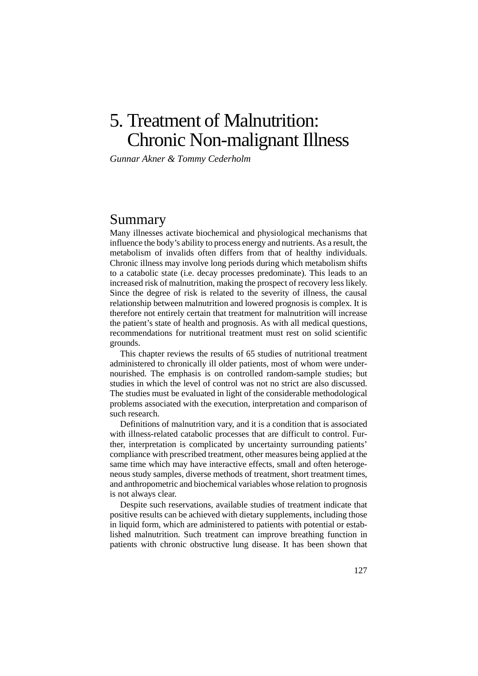# 5. Treatment of Malnutrition: 5. Chronic Non-malignant Illness

*Gunnar Akner & Tommy Cederholm*

# Summary

Many illnesses activate biochemical and physiological mechanisms that influence the body's ability to process energy and nutrients. As a result, the metabolism of invalids often differs from that of healthy individuals. Chronic illness may involve long periods during which metabolism shifts to a catabolic state (i.e. decay processes predominate). This leads to an increased risk of malnutrition, making the prospect of recovery less likely. Since the degree of risk is related to the severity of illness, the causal relationship between malnutrition and lowered prognosis is complex. It is therefore not entirely certain that treatment for malnutrition will increase the patient's state of health and prognosis. As with all medical questions, recommendations for nutritional treatment must rest on solid scientific grounds.

This chapter reviews the results of 65 studies of nutritional treatment administered to chronically ill older patients, most of whom were undernourished. The emphasis is on controlled random-sample studies; but studies in which the level of control was not no strict are also discussed. The studies must be evaluated in light of the considerable methodological problems associated with the execution, interpretation and comparison of such research.

Definitions of malnutrition vary, and it is a condition that is associated with illness-related catabolic processes that are difficult to control. Further, interpretation is complicated by uncertainty surrounding patients' compliance with prescribed treatment, other measures being applied at the same time which may have interactive effects, small and often heterogeneous study samples, diverse methods of treatment, short treatment times, and anthropometric and biochemical variables whose relation to prognosis is not always clear.

Despite such reservations, available studies of treatment indicate that positive results can be achieved with dietary supplements, including those in liquid form, which are administered to patients with potential or established malnutrition. Such treatment can improve breathing function in patients with chronic obstructive lung disease. It has been shown that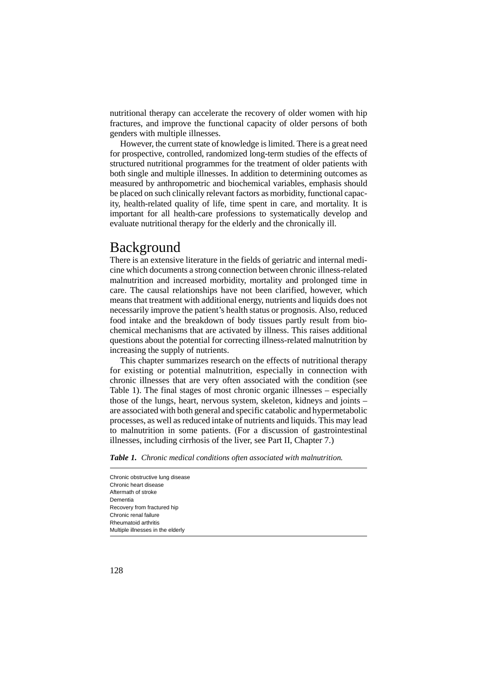nutritional therapy can accelerate the recovery of older women with hip fractures, and improve the functional capacity of older persons of both genders with multiple illnesses.

However, the current state of knowledge is limited. There is a great need for prospective, controlled, randomized long-term studies of the effects of structured nutritional programmes for the treatment of older patients with both single and multiple illnesses. In addition to determining outcomes as measured by anthropometric and biochemical variables, emphasis should be placed on such clinically relevant factors as morbidity, functional capacity, health-related quality of life, time spent in care, and mortality. It is important for all health-care professions to systematically develop and evaluate nutritional therapy for the elderly and the chronically ill.

# Background

There is an extensive literature in the fields of geriatric and internal medicine which documents a strong connection between chronic illness-related malnutrition and increased morbidity, mortality and prolonged time in care. The causal relationships have not been clarified, however, which means that treatment with additional energy, nutrients and liquids does not necessarily improve the patient's health status or prognosis. Also, reduced food intake and the breakdown of body tissues partly result from biochemical mechanisms that are activated by illness. This raises additional questions about the potential for correcting illness-related malnutrition by increasing the supply of nutrients.

This chapter summarizes research on the effects of nutritional therapy for existing or potential malnutrition, especially in connection with chronic illnesses that are very often associated with the condition (see Table 1). The final stages of most chronic organic illnesses – especially those of the lungs, heart, nervous system, skeleton, kidneys and joints – are associated with both general and specific catabolic and hypermetabolic processes, as well as reduced intake of nutrients and liquids. This may lead to malnutrition in some patients. (For a discussion of gastrointestinal illnesses, including cirrhosis of the liver, see Part II, Chapter 7.)

*Table 1. Chronic medical conditions often associated with malnutrition.*

Chronic obstructive lung disease Chronic heart disease Aftermath of stroke Dementia Recovery from fractured hip Chronic renal failure Rheumatoid arthritis Multiple illnesses in the elderly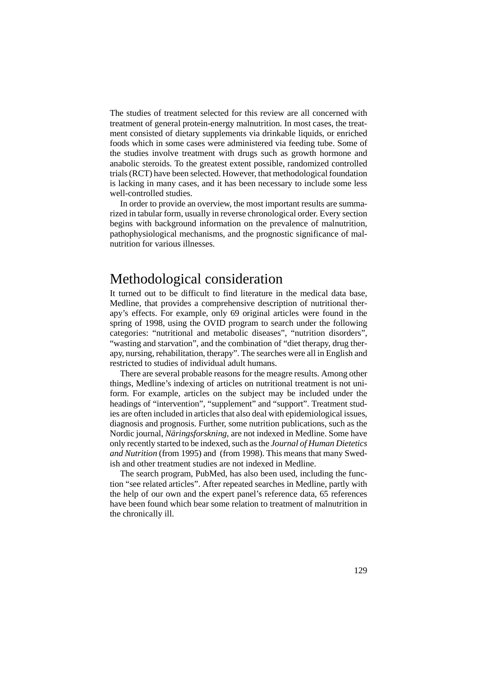The studies of treatment selected for this review are all concerned with treatment of general protein-energy malnutrition. In most cases, the treatment consisted of dietary supplements via drinkable liquids, or enriched foods which in some cases were administered via feeding tube. Some of the studies involve treatment with drugs such as growth hormone and anabolic steroids. To the greatest extent possible, randomized controlled trials (RCT) have been selected. However, that methodological foundation is lacking in many cases, and it has been necessary to include some less well-controlled studies.

In order to provide an overview, the most important results are summarized in tabular form, usually in reverse chronological order. Every section begins with background information on the prevalence of malnutrition, pathophysiological mechanisms, and the prognostic significance of malnutrition for various illnesses.

# Methodological consideration

It turned out to be difficult to find literature in the medical data base, Medline, that provides a comprehensive description of nutritional therapy's effects. For example, only 69 original articles were found in the spring of 1998, using the OVID program to search under the following categories: "nutritional and metabolic diseases", "nutrition disorders", "wasting and starvation", and the combination of "diet therapy, drug therapy, nursing, rehabilitation, therapy". The searches were all in English and restricted to studies of individual adult humans.

There are several probable reasons for the meagre results. Among other things, Medline's indexing of articles on nutritional treatment is not uniform. For example, articles on the subject may be included under the headings of "intervention", "supplement" and "support". Treatment studies are often included in articles that also deal with epidemiological issues, diagnosis and prognosis. Further, some nutrition publications, such as the Nordic journal, *Näringsforskning*, are not indexed in Medline. Some have only recently started to be indexed, such as the *Journal of Human Dietetics and Nutrition* (from 1995) and (from 1998). This means that many Swedish and other treatment studies are not indexed in Medline.

The search program, PubMed, has also been used, including the function "see related articles". After repeated searches in Medline, partly with the help of our own and the expert panel's reference data, 65 references have been found which bear some relation to treatment of malnutrition in the chronically ill.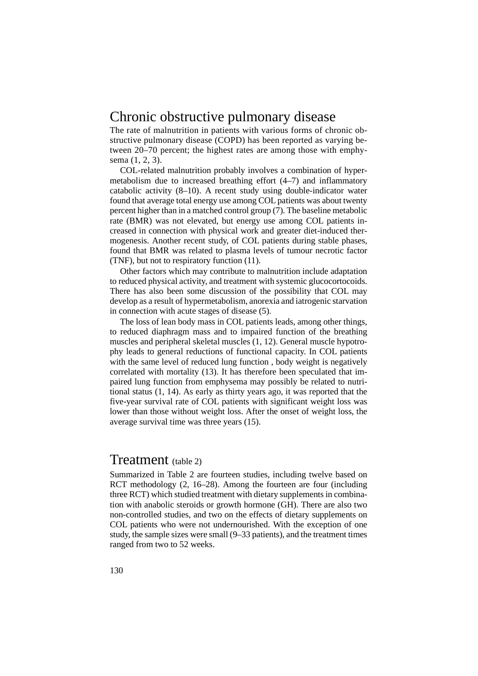# Chronic obstructive pulmonary disease

The rate of malnutrition in patients with various forms of chronic obstructive pulmonary disease (COPD) has been reported as varying between 20–70 percent; the highest rates are among those with emphysema (1, 2, 3).

COL-related malnutrition probably involves a combination of hypermetabolism due to increased breathing effort (4–7) and inflammatory catabolic activity (8–10). A recent study using double-indicator water found that average total energy use among COL patients was about twenty percent higher than in a matched control group (7). The baseline metabolic rate (BMR) was not elevated, but energy use among COL patients increased in connection with physical work and greater diet-induced thermogenesis. Another recent study, of COL patients during stable phases, found that BMR was related to plasma levels of tumour necrotic factor (TNF), but not to respiratory function (11).

Other factors which may contribute to malnutrition include adaptation to reduced physical activity, and treatment with systemic glucocortocoids. There has also been some discussion of the possibility that COL may develop as a result of hypermetabolism, anorexia and iatrogenic starvation in connection with acute stages of disease (5).

The loss of lean body mass in COL patients leads, among other things, to reduced diaphragm mass and to impaired function of the breathing muscles and peripheral skeletal muscles (1, 12). General muscle hypotrophy leads to general reductions of functional capacity. In COL patients with the same level of reduced lung function , body weight is negatively correlated with mortality (13). It has therefore been speculated that impaired lung function from emphysema may possibly be related to nutritional status (1, 14). As early as thirty years ago, it was reported that the five-year survival rate of COL patients with significant weight loss was lower than those without weight loss. After the onset of weight loss, the average survival time was three years (15).

## Treatment (table 2)

Summarized in Table 2 are fourteen studies, including twelve based on RCT methodology (2, 16–28). Among the fourteen are four (including three RCT) which studied treatment with dietary supplements in combination with anabolic steroids or growth hormone (GH). There are also two non-controlled studies, and two on the effects of dietary supplements on COL patients who were not undernourished. With the exception of one study, the sample sizes were small (9–33 patients), and the treatment times ranged from two to 52 weeks.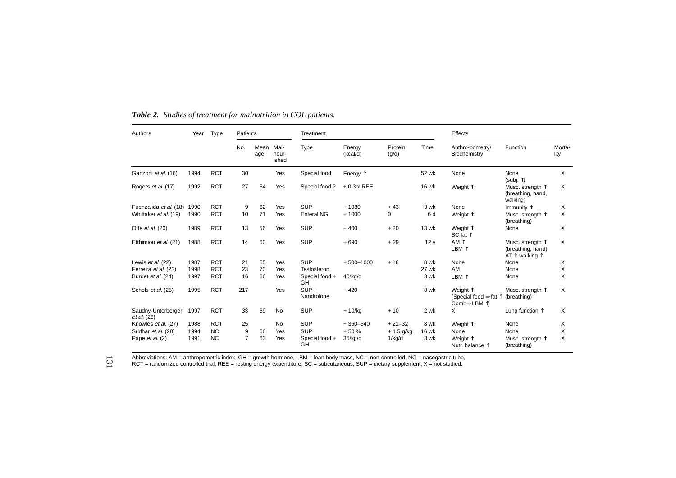| Authors                                  | Year | Type       | Patients       |             |                        | Treatment             |                    |                  | Effects         |                                                                       |                                                                                      |                |  |
|------------------------------------------|------|------------|----------------|-------------|------------------------|-----------------------|--------------------|------------------|-----------------|-----------------------------------------------------------------------|--------------------------------------------------------------------------------------|----------------|--|
|                                          |      |            | No.            | Mean<br>age | Mal-<br>nour-<br>ished | <b>Type</b>           | Energy<br>(kcal/d) | Protein<br>(q/d) | Time            | Anthro-pometry/<br>Biochemistry                                       | Function                                                                             | Morta-<br>lity |  |
| Ganzoni et al. (16)                      | 1994 | <b>RCT</b> | 30             |             | Yes                    | Special food          | Energy $\uparrow$  |                  | 52 wk           | None                                                                  | None<br>(subj. $\uparrow$ )                                                          | X              |  |
| Rogers et al. (17)                       | 1992 | <b>RCT</b> | 27             | 64          | Yes                    | Special food?         | $+0.3 \times$ REE  |                  | <b>16 wk</b>    | Weight 1                                                              | Musc. strength 1<br>(breathing, hand,<br>walking)                                    | $\times$       |  |
| Fuenzalida et al. (18)                   | 1990 | <b>RCT</b> | 9              | 62          | Yes                    | <b>SUP</b>            | $+1080$            | $+43$            | 3 wk            | None                                                                  | Immunity $\uparrow$                                                                  | X              |  |
| Whittaker et al. (19)                    | 1990 | <b>RCT</b> | 10             | 71          | Yes                    | <b>Enteral NG</b>     | $+1000$            | 0                | 6 d             | Weight 1                                                              | Musc. strenath $\uparrow$<br>(breathing)                                             | X              |  |
| Otte et al. (20)                         | 1989 | <b>RCT</b> | 13             | 56          | Yes                    | <b>SUP</b>            | $+400$             | $+20$            | <b>13 wk</b>    | Weight 1<br>SC fat $\uparrow$                                         | None                                                                                 | X              |  |
| Efthimiou et al. (21)                    | 1988 | <b>RCT</b> | 14             | 60          | Yes                    | <b>SUP</b>            | $+690$             | $+29$            | 12 <sub>V</sub> | AM 1<br>LBM 1                                                         | Musc. strenath $\uparrow$<br>(breathing, hand)<br>AT $\uparrow$ , walking $\uparrow$ | X              |  |
| Lewis et al. (22)                        | 1987 | <b>RCT</b> | 21             | 65          | Yes                    | <b>SUP</b>            | $+500 - 1000$      | $+18$            | 8 wk            | None                                                                  | None                                                                                 | X              |  |
| Ferreira et al. (23)                     | 1998 | <b>RCT</b> | 23             | 70          | Yes                    | Testosteron           |                    |                  | 27 wk           | AM                                                                    | None                                                                                 | X              |  |
| Burdet et al. (24)                       | 1997 | <b>RCT</b> | 16             | 66          | Yes                    | Special food +<br>GH  | 40/kg/d            |                  | 3 wk            | LBM 1                                                                 | None                                                                                 | X              |  |
| Schols et al. (25)                       | 1995 | <b>RCT</b> | 217            |             | Yes                    | $SUP +$<br>Nandrolone | $+420$             |                  | 8 wk            | Weight 1<br>(Special food $\Rightarrow$ fat $\uparrow$<br>Comb⇒LBM 1) | Musc. strenath $\uparrow$<br>(breathing)                                             | X              |  |
| Saudny-Unterberger<br><i>et al.</i> (26) | 1997 | <b>RCT</b> | 33             | 69          | <b>No</b>              | <b>SUP</b>            | $+10/kq$           | $+10$            | 2 wk            | X                                                                     | Lung function $\uparrow$                                                             | Χ              |  |
| Knowles et al. (27)                      | 1988 | <b>RCT</b> | 25             |             | <b>No</b>              | <b>SUP</b>            | $+360 - 540$       | $+21-32$         | 8 wk            | Weight 1                                                              | None                                                                                 | Χ              |  |
| Sridhar et al. (28)                      | 1994 | <b>NC</b>  | 9              | 66          | Yes                    | <b>SUP</b>            | $+50%$             | $+ 1.5$ g/kg     | <b>16 wk</b>    | None                                                                  | None                                                                                 | X              |  |
| Pape et al. (2)                          | 1991 | <b>NC</b>  | $\overline{7}$ | 63          | Yes                    | Special food +<br>GH  | 35/kg/d            | 1/kg/d           | 3 wk            | Weight 1<br>Nutr. balance 1                                           | Musc. strength T<br>(breathing)                                                      | X              |  |

*Table 2. Studies of treatment for malnutrition in COL patients.*

Abbreviations: AM = anthropometric index, GH = growth hormone, LBM = lean body mass, NC = non-controlled, NG = nasogastric tube,<br>RCT = randomized controlled trial, REE = resting energy expenditure, SC = subcutaneous, SUP 131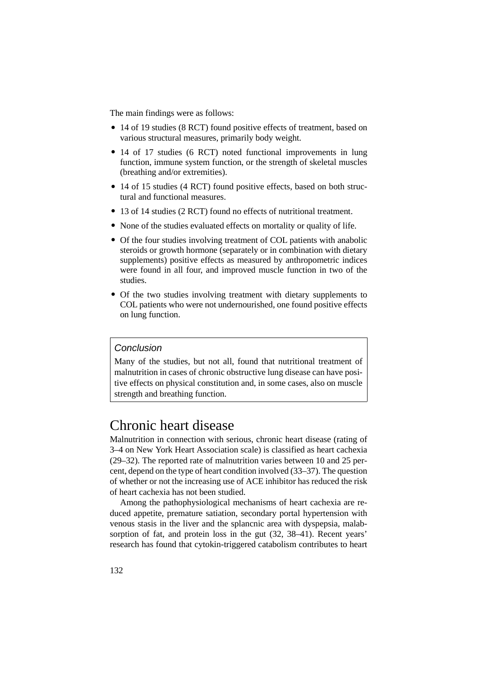The main findings were as follows:

- 14 of 19 studies (8 RCT) found positive effects of treatment, based on various structural measures, primarily body weight.
- 14 of 17 studies (6 RCT) noted functional improvements in lung function, immune system function, or the strength of skeletal muscles (breathing and/or extremities).
- 14 of 15 studies (4 RCT) found positive effects, based on both structural and functional measures.
- 13 of 14 studies (2 RCT) found no effects of nutritional treatment.
- None of the studies evaluated effects on mortality or quality of life.
- Of the four studies involving treatment of COL patients with anabolic steroids or growth hormone (separately or in combination with dietary supplements) positive effects as measured by anthropometric indices were found in all four, and improved muscle function in two of the studies.
- Of the two studies involving treatment with dietary supplements to COL patients who were not undernourished, one found positive effects on lung function.

### Conclusion

Many of the studies, but not all, found that nutritional treatment of malnutrition in cases of chronic obstructive lung disease can have positive effects on physical constitution and, in some cases, also on muscle strength and breathing function.

# Chronic heart disease

Malnutrition in connection with serious, chronic heart disease (rating of 3–4 on New York Heart Association scale) is classified as heart cachexia (29–32). The reported rate of malnutrition varies between 10 and 25 percent, depend on the type of heart condition involved (33–37). The question of whether or not the increasing use of ACE inhibitor has reduced the risk of heart cachexia has not been studied.

Among the pathophysiological mechanisms of heart cachexia are reduced appetite, premature satiation, secondary portal hypertension with venous stasis in the liver and the splancnic area with dyspepsia, malabsorption of fat, and protein loss in the gut (32, 38–41). Recent years' research has found that cytokin-triggered catabolism contributes to heart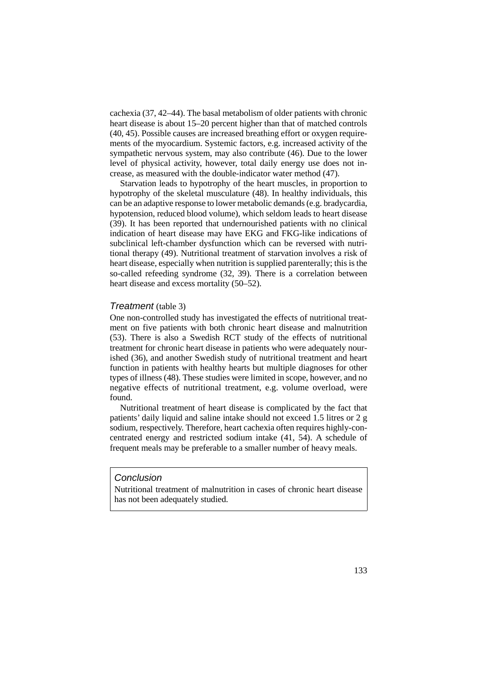cachexia (37, 42–44). The basal metabolism of older patients with chronic heart disease is about 15–20 percent higher than that of matched controls (40, 45). Possible causes are increased breathing effort or oxygen requirements of the myocardium. Systemic factors, e.g. increased activity of the sympathetic nervous system, may also contribute (46). Due to the lower level of physical activity, however, total daily energy use does not increase, as measured with the double-indicator water method (47).

Starvation leads to hypotrophy of the heart muscles, in proportion to hypotrophy of the skeletal musculature (48). In healthy individuals, this can be an adaptive response to lower metabolic demands (e.g. bradycardia, hypotension, reduced blood volume), which seldom leads to heart disease (39). It has been reported that undernourished patients with no clinical indication of heart disease may have EKG and FKG-like indications of subclinical left-chamber dysfunction which can be reversed with nutritional therapy (49). Nutritional treatment of starvation involves a risk of heart disease, especially when nutrition is supplied parenterally; this is the so-called refeeding syndrome (32, 39). There is a correlation between heart disease and excess mortality  $(50-52)$ .

#### Treatment (table 3)

One non-controlled study has investigated the effects of nutritional treatment on five patients with both chronic heart disease and malnutrition (53). There is also a Swedish RCT study of the effects of nutritional treatment for chronic heart disease in patients who were adequately nourished (36), and another Swedish study of nutritional treatment and heart function in patients with healthy hearts but multiple diagnoses for other types of illness (48). These studies were limited in scope, however, and no negative effects of nutritional treatment, e.g. volume overload, were found.

Nutritional treatment of heart disease is complicated by the fact that patients' daily liquid and saline intake should not exceed 1.5 litres or 2 g sodium, respectively. Therefore, heart cachexia often requires highly-concentrated energy and restricted sodium intake (41, 54). A schedule of frequent meals may be preferable to a smaller number of heavy meals.

### **Conclusion**

Nutritional treatment of malnutrition in cases of chronic heart disease has not been adequately studied.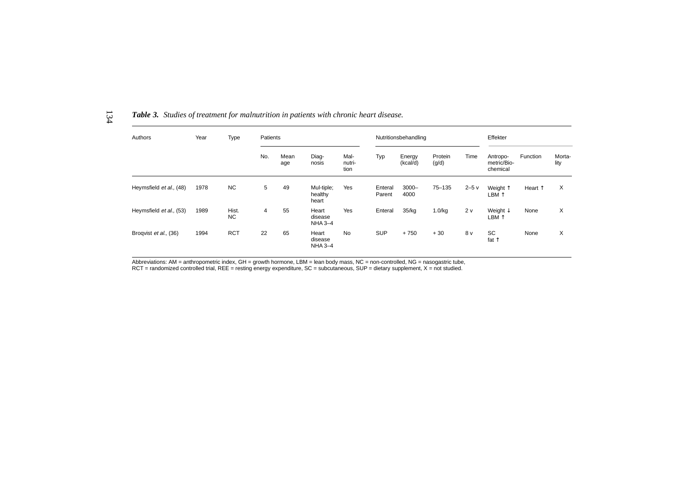| Authors                 | Year | Type               | Patients |             |                                    |                        |                   | Nutritionsbehandling |                  | Effekter |                                     |                  |                |
|-------------------------|------|--------------------|----------|-------------|------------------------------------|------------------------|-------------------|----------------------|------------------|----------|-------------------------------------|------------------|----------------|
|                         |      |                    | No.      | Mean<br>age | Diag-<br>nosis                     | Mal-<br>nutri-<br>tion | Typ               | Energy<br>(kcal/d)   | Protein<br>(g/d) | Time     | Antropo-<br>metric/Bio-<br>chemical | Function         | Morta-<br>lity |
| Heymsfield et al., (48) | 1978 | NC                 | 5        | 49          | Mul-tiple;<br>healthy<br>heart     | Yes                    | Enteral<br>Parent | $3000 -$<br>4000     | $75 - 135$       | $2-5v$   | Weight 1<br>LBM ↑                   | Heart $\uparrow$ | X              |
| Heymsfield et al., (53) | 1989 | Hist.<br><b>NC</b> | 4        | 55          | Heart<br>disease<br><b>NHA 3-4</b> | Yes                    | Enteral           | 35/kg                | 1.0/kg           | 2v       | Weight $\downarrow$<br>LBM 1        | None             | X              |
| Broqvist et al., (36)   | 1994 | <b>RCT</b>         | 22       | 65          | Heart<br>disease<br>$NHA 3-4$      | <b>No</b>              | <b>SUP</b>        | $+750$               | $+30$            | 8 v      | <b>SC</b><br>fat $\uparrow$         | None             | X              |

*Table 3. Studies of treatment for malnutrition in patients with chronic heart disease.*

Abbreviations: AM = anthropometric index, GH = growth hormone, LBM = lean body mass, NC = non-controlled, NG = nasogastric tube,<br>RCT = randomized controlled trial, REE = resting energy expenditure, SC = subcutaneous, SUP =

134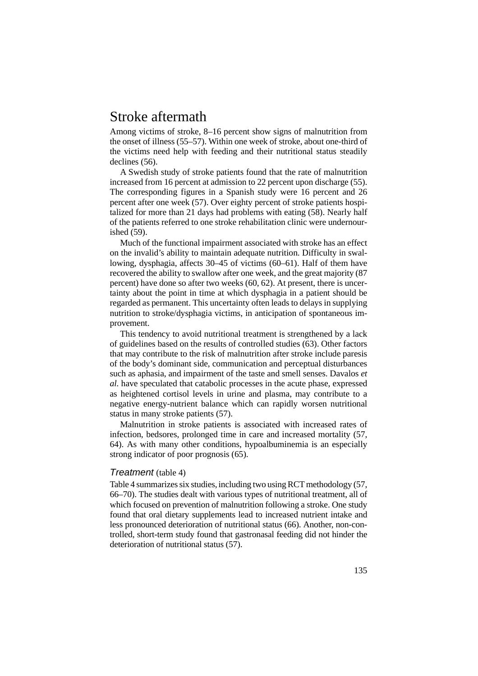# Stroke aftermath

Among victims of stroke, 8–16 percent show signs of malnutrition from the onset of illness (55–57). Within one week of stroke, about one-third of the victims need help with feeding and their nutritional status steadily declines (56).

A Swedish study of stroke patients found that the rate of malnutrition increased from 16 percent at admission to 22 percent upon discharge (55). The corresponding figures in a Spanish study were 16 percent and 26 percent after one week (57). Over eighty percent of stroke patients hospitalized for more than 21 days had problems with eating (58). Nearly half of the patients referred to one stroke rehabilitation clinic were undernourished (59).

Much of the functional impairment associated with stroke has an effect on the invalid's ability to maintain adequate nutrition. Difficulty in swallowing, dysphagia, affects 30–45 of victims (60–61). Half of them have recovered the ability to swallow after one week, and the great majority (87 percent) have done so after two weeks (60, 62). At present, there is uncertainty about the point in time at which dysphagia in a patient should be regarded as permanent. This uncertainty often leads to delays in supplying nutrition to stroke/dysphagia victims, in anticipation of spontaneous improvement.

This tendency to avoid nutritional treatment is strengthened by a lack of guidelines based on the results of controlled studies (63). Other factors that may contribute to the risk of malnutrition after stroke include paresis of the body's dominant side, communication and perceptual disturbances such as aphasia, and impairment of the taste and smell senses. Davalos *et al.* have speculated that catabolic processes in the acute phase, expressed as heightened cortisol levels in urine and plasma, may contribute to a negative energy-nutrient balance which can rapidly worsen nutritional status in many stroke patients (57).

Malnutrition in stroke patients is associated with increased rates of infection, bedsores, prolonged time in care and increased mortality (57, 64). As with many other conditions, hypoalbuminemia is an especially strong indicator of poor prognosis (65).

#### Treatment (table 4)

Table 4 summarizes six studies, including two using RCT methodology (57, 66–70). The studies dealt with various types of nutritional treatment, all of which focused on prevention of malnutrition following a stroke. One study found that oral dietary supplements lead to increased nutrient intake and less pronounced deterioration of nutritional status (66). Another, non-controlled, short-term study found that gastronasal feeding did not hinder the deterioration of nutritional status (57).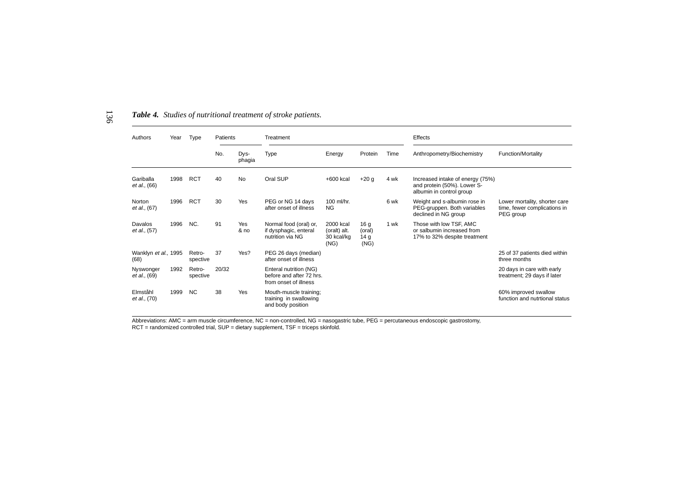| Authors<br>Year                   |      | Type               | Patients |                    | Treatment                                                                   |                                                 |                                                      |      | Effects                                                                                     |                                                                            |  |  |
|-----------------------------------|------|--------------------|----------|--------------------|-----------------------------------------------------------------------------|-------------------------------------------------|------------------------------------------------------|------|---------------------------------------------------------------------------------------------|----------------------------------------------------------------------------|--|--|
|                                   |      |                    | No.      | Dys-<br>phagia     | <b>Type</b>                                                                 | Energy                                          | Protein                                              | Time | Anthropometry/Biochemistry                                                                  | Function/Mortality                                                         |  |  |
| Gariballa<br>et al., (66)         | 1998 | <b>RCT</b>         | 40       | <b>No</b>          | Oral SUP                                                                    | +600 kcal                                       | $+20 g$                                              | 4 wk | Increased intake of energy (75%)<br>and protein (50%). Lower S-<br>albumin in control group |                                                                            |  |  |
| Norton<br>et al., (67)            | 1996 | <b>RCT</b>         | 30       | Yes                | PEG or NG 14 days<br>after onset of illness                                 | $100$ ml/hr.<br><b>NG</b>                       |                                                      | 6 wk | Weight and s-albumin rose in<br>PEG-gruppen. Both variables<br>declined in NG group         | Lower mortality, shorter care<br>time, fewer complications in<br>PEG group |  |  |
| Davalos<br>et al., (57)           | 1996 | NC.                | 91       | <b>Yes</b><br>& no | Normal food (oral) or,<br>if dysphagic, enteral<br>nutrition via NG         | 2000 kcal<br>(oralt) alt.<br>30 kcal/kg<br>(NG) | 16 <sub>g</sub><br>(oral)<br>14 <sub>g</sub><br>(NG) | 1 wk | Those with low TSF, AMC<br>or salbumin increased from<br>17% to 32% despite treatment       |                                                                            |  |  |
| Wanklyn et al., 1995<br>(68)      |      | Retro-<br>spective | 37       | Yes?               | PEG 26 days (median)<br>after onset of illness                              |                                                 |                                                      |      |                                                                                             | 25 of 37 patients died within<br>three months                              |  |  |
| Nyswonger<br><i>et al.</i> , (69) | 1992 | Retro-<br>spective | 20/32    |                    | Enteral nutrition (NG)<br>before and after 72 hrs.<br>from onset of illness |                                                 |                                                      |      |                                                                                             | 20 days in care with early<br>treatment; 29 days if later                  |  |  |
| Elmståhl<br><i>et al.,</i> (70)   | 1999 | <b>NC</b>          | 38       | Yes                | Mouth-muscle training;<br>training in swallowing<br>and body position       |                                                 |                                                      |      |                                                                                             | 60% improved swallow<br>function and nutrtional status                     |  |  |

#### *Table 4. Studies of nutritional treatment of stroke patients.*

136

Abbreviations: AMC = arm muscle circumference, NC = non-controlled, NG = nasogastric tube, PEG = percutaneous endoscopic gastrostomy,<br>RCT = randomized controlled trial, SUP = dietary supplement, TSF = triceps skinfold.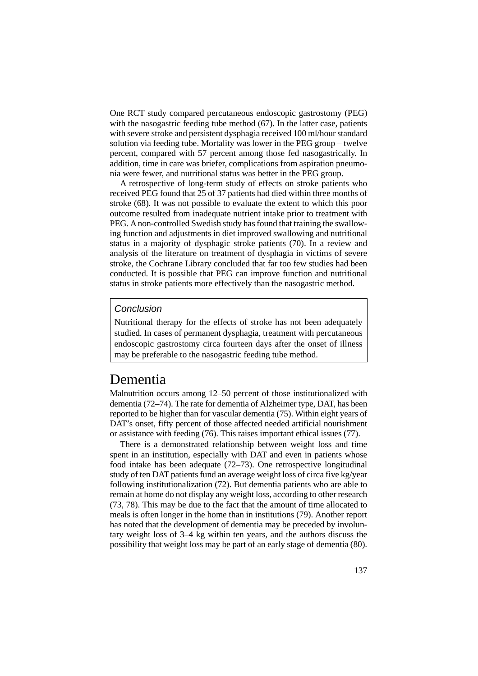One RCT study compared percutaneous endoscopic gastrostomy (PEG) with the nasogastric feeding tube method (67). In the latter case, patients with severe stroke and persistent dysphagia received 100 ml/hour standard solution via feeding tube. Mortality was lower in the PEG group – twelve percent, compared with 57 percent among those fed nasogastrically. In addition, time in care was briefer, complications from aspiration pneumonia were fewer, and nutritional status was better in the PEG group.

A retrospective of long-term study of effects on stroke patients who received PEG found that 25 of 37 patients had died within three months of stroke (68). It was not possible to evaluate the extent to which this poor outcome resulted from inadequate nutrient intake prior to treatment with PEG. A non-controlled Swedish study has found that training the swallowing function and adjustments in diet improved swallowing and nutritional status in a majority of dysphagic stroke patients (70). In a review and analysis of the literature on treatment of dysphagia in victims of severe stroke, the Cochrane Library concluded that far too few studies had been conducted. It is possible that PEG can improve function and nutritional status in stroke patients more effectively than the nasogastric method.

### Conclusion

Nutritional therapy for the effects of stroke has not been adequately studied. In cases of permanent dysphagia, treatment with percutaneous endoscopic gastrostomy circa fourteen days after the onset of illness may be preferable to the nasogastric feeding tube method.

# Dementia

Malnutrition occurs among 12–50 percent of those institutionalized with dementia (72–74). The rate for dementia of Alzheimer type, DAT, has been reported to be higher than for vascular dementia (75). Within eight years of DAT's onset, fifty percent of those affected needed artificial nourishment or assistance with feeding (76). This raises important ethical issues (77).

There is a demonstrated relationship between weight loss and time spent in an institution, especially with DAT and even in patients whose food intake has been adequate (72–73). One retrospective longitudinal study of ten DAT patients fund an average weight loss of circa five kg/year following institutionalization (72). But dementia patients who are able to remain at home do not display any weight loss, according to other research (73, 78). This may be due to the fact that the amount of time allocated to meals is often longer in the home than in institutions (79). Another report has noted that the development of dementia may be preceded by involuntary weight loss of 3–4 kg within ten years, and the authors discuss the possibility that weight loss may be part of an early stage of dementia (80).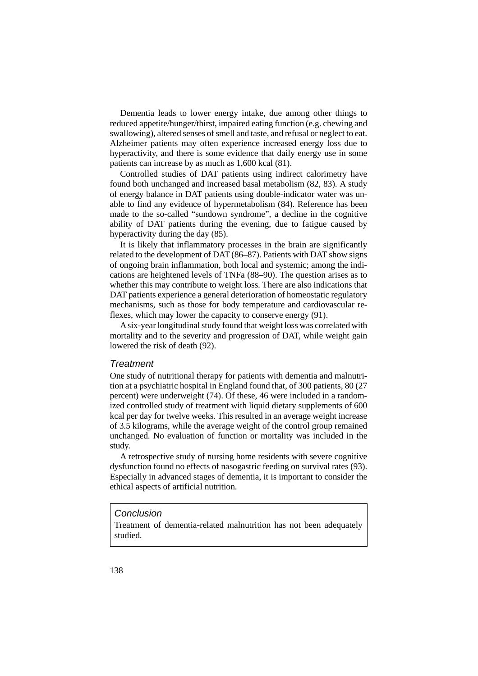Dementia leads to lower energy intake, due among other things to reduced appetite/hunger/thirst, impaired eating function (e.g. chewing and swallowing), altered senses of smell and taste, and refusal or neglect to eat. Alzheimer patients may often experience increased energy loss due to hyperactivity, and there is some evidence that daily energy use in some patients can increase by as much as 1,600 kcal (81).

Controlled studies of DAT patients using indirect calorimetry have found both unchanged and increased basal metabolism (82, 83). A study of energy balance in DAT patients using double-indicator water was unable to find any evidence of hypermetabolism (84). Reference has been made to the so-called "sundown syndrome", a decline in the cognitive ability of DAT patients during the evening, due to fatigue caused by hyperactivity during the day (85).

It is likely that inflammatory processes in the brain are significantly related to the development of DAT (86–87). Patients with DAT show signs of ongoing brain inflammation, both local and systemic; among the indications are heightened levels of TNFa (88–90). The question arises as to whether this may contribute to weight loss. There are also indications that DAT patients experience a general deterioration of homeostatic regulatory mechanisms, such as those for body temperature and cardiovascular reflexes, which may lower the capacity to conserve energy (91).

A six-year longitudinal study found that weight loss was correlated with mortality and to the severity and progression of DAT, while weight gain lowered the risk of death (92).

### **Treatment**

One study of nutritional therapy for patients with dementia and malnutrition at a psychiatric hospital in England found that, of 300 patients, 80 (27 percent) were underweight (74). Of these, 46 were included in a randomized controlled study of treatment with liquid dietary supplements of 600 kcal per day for twelve weeks. This resulted in an average weight increase of 3.5 kilograms, while the average weight of the control group remained unchanged. No evaluation of function or mortality was included in the study.

A retrospective study of nursing home residents with severe cognitive dysfunction found no effects of nasogastric feeding on survival rates (93). Especially in advanced stages of dementia, it is important to consider the ethical aspects of artificial nutrition.

#### **Conclusion**

Treatment of dementia-related malnutrition has not been adequately studied.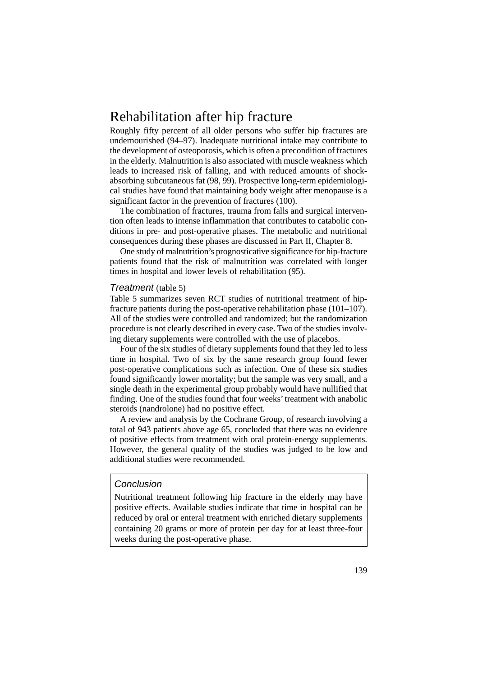# Rehabilitation after hip fracture

Roughly fifty percent of all older persons who suffer hip fractures are undernourished (94–97). Inadequate nutritional intake may contribute to the development of osteoporosis, which is often a precondition of fractures in the elderly. Malnutrition is also associated with muscle weakness which leads to increased risk of falling, and with reduced amounts of shockabsorbing subcutaneous fat (98, 99). Prospective long-term epidemiological studies have found that maintaining body weight after menopause is a significant factor in the prevention of fractures (100).

The combination of fractures, trauma from falls and surgical intervention often leads to intense inflammation that contributes to catabolic conditions in pre- and post-operative phases. The metabolic and nutritional consequences during these phases are discussed in Part II, Chapter 8.

One study of malnutrition's prognosticative significance for hip-fracture patients found that the risk of malnutrition was correlated with longer times in hospital and lower levels of rehabilitation (95).

#### Treatment (table 5)

Table 5 summarizes seven RCT studies of nutritional treatment of hipfracture patients during the post-operative rehabilitation phase (101–107). All of the studies were controlled and randomized; but the randomization procedure is not clearly described in every case. Two of the studies involving dietary supplements were controlled with the use of placebos.

Four of the six studies of dietary supplements found that they led to less time in hospital. Two of six by the same research group found fewer post-operative complications such as infection. One of these six studies found significantly lower mortality; but the sample was very small, and a single death in the experimental group probably would have nullified that finding. One of the studies found that four weeks' treatment with anabolic steroids (nandrolone) had no positive effect.

A review and analysis by the Cochrane Group, of research involving a total of 943 patients above age 65, concluded that there was no evidence of positive effects from treatment with oral protein-energy supplements. However, the general quality of the studies was judged to be low and additional studies were recommended.

### Conclusion

Nutritional treatment following hip fracture in the elderly may have positive effects. Available studies indicate that time in hospital can be reduced by oral or enteral treatment with enriched dietary supplements containing 20 grams or more of protein per day for at least three-four weeks during the post-operative phase.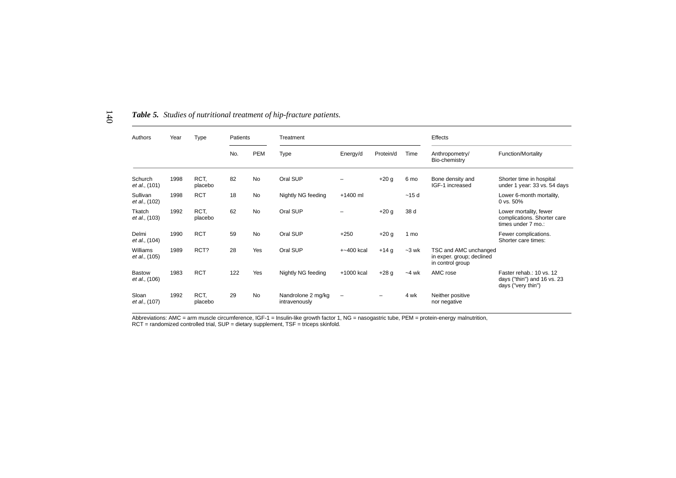| Authors                               | <b>Type</b><br>Patients<br>Year<br>Treatment |                 |     |            |                                     |               |           |         | Effects                                                                |                                                                               |  |  |
|---------------------------------------|----------------------------------------------|-----------------|-----|------------|-------------------------------------|---------------|-----------|---------|------------------------------------------------------------------------|-------------------------------------------------------------------------------|--|--|
|                                       |                                              |                 | No. | <b>PEM</b> | Type                                | Energy/d      | Protein/d | Time    | Anthropometry/<br>Bio-chemistry                                        | <b>Function/Mortality</b>                                                     |  |  |
| Schurch<br><i>et al.,</i> (101)       | 1998                                         | RCT,<br>placebo | 82  | <b>No</b>  | Oral SUP                            |               | $+20g$    | 6 mo    | Bone density and<br>IGF-1 increased                                    | Shorter time in hospital<br>under 1 year: 33 vs. 54 days                      |  |  |
| Sullivan<br><i>et al.,</i> (102)      | 1998                                         | <b>RCT</b>      | 18  | <b>No</b>  | Nightly NG feeding                  | +1400 ml      |           | ~15d    |                                                                        | Lower 6-month mortality,<br>0 vs. 50%                                         |  |  |
| Tkatch<br><i>et al.,</i> (103)        | 1992                                         | RCT.<br>placebo | 62  | <b>No</b>  | Oral SUP                            |               | $+20g$    | 38 d    |                                                                        | Lower mortality, fewer<br>complications. Shorter care<br>times under 7 mo.:   |  |  |
| Delmi<br>et al., (104)                | 1990                                         | <b>RCT</b>      | 59  | <b>No</b>  | Oral SUP                            | $+250$        | $+20 g$   | 1 mo    |                                                                        | Fewer complications.<br>Shorter care times:                                   |  |  |
| Williams<br>et al., (105)             | 1989                                         | RCT?            | 28  | Yes        | Oral SUP                            | $+$ ~400 kcal | $+14g$    | $-3$ wk | TSC and AMC unchanged<br>in exper. group; declined<br>in control group |                                                                               |  |  |
| <b>Bastow</b><br><i>et al.,</i> (106) | 1983                                         | <b>RCT</b>      | 122 | Yes        | Nightly NG feeding                  | +1000 kcal    | $+28g$    | $-4$ wk | AMC rose                                                               | Faster rehab.: 10 vs. 12<br>days ("thin") and 16 vs. 23<br>days ("very thin") |  |  |
| Sloan<br><i>et al.,</i> (107)         | 1992                                         | RCT.<br>placebo | 29  | <b>No</b>  | Nandrolone 2 mg/kg<br>intravenously |               |           | 4 wk    | Neither positive<br>nor negative                                       |                                                                               |  |  |

*Table 5. Studies of nutritional treatment of hip-fracture patients.*

140

Abbreviations: AMC = arm muscle circumference, IGF-1 = Insulin-like growth factor 1, NG = nasogastric tube, PEM = protein-energy malnutrition,<br>RCT = randomized controlled trial, SUP = dietary supplement, TSF = triceps skin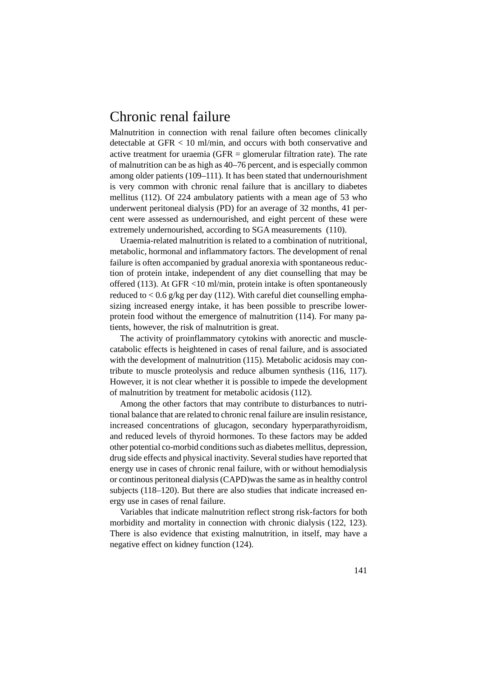# Chronic renal failure

Malnutrition in connection with renal failure often becomes clinically detectable at GFR < 10 ml/min, and occurs with both conservative and active treatment for uraemia (GFR  $=$  glomerular filtration rate). The rate of malnutrition can be as high as 40–76 percent, and is especially common among older patients (109–111). It has been stated that undernourishment is very common with chronic renal failure that is ancillary to diabetes mellitus (112). Of 224 ambulatory patients with a mean age of 53 who underwent peritoneal dialysis (PD) for an average of 32 months, 41 percent were assessed as undernourished, and eight percent of these were extremely undernourished, according to SGA measurements (110).

Uraemia-related malnutrition is related to a combination of nutritional, metabolic, hormonal and inflammatory factors. The development of renal failure is often accompanied by gradual anorexia with spontaneous reduction of protein intake, independent of any diet counselling that may be offered (113). At GFR <10 ml/min, protein intake is often spontaneously reduced to  $< 0.6$  g/kg per day (112). With careful diet counselling emphasizing increased energy intake, it has been possible to prescribe lowerprotein food without the emergence of malnutrition (114). For many patients, however, the risk of malnutrition is great.

The activity of proinflammatory cytokins with anorectic and musclecatabolic effects is heightened in cases of renal failure, and is associated with the development of malnutrition (115). Metabolic acidosis may contribute to muscle proteolysis and reduce albumen synthesis (116, 117). However, it is not clear whether it is possible to impede the development of malnutrition by treatment for metabolic acidosis (112).

Among the other factors that may contribute to disturbances to nutritional balance that are related to chronic renal failure are insulin resistance, increased concentrations of glucagon, secondary hyperparathyroidism, and reduced levels of thyroid hormones. To these factors may be added other potential co-morbid conditions such as diabetes mellitus, depression, drug side effects and physical inactivity. Several studies have reported that energy use in cases of chronic renal failure, with or without hemodialysis or continous peritoneal dialysis (CAPD)was the same as in healthy control subjects (118–120). But there are also studies that indicate increased energy use in cases of renal failure.

Variables that indicate malnutrition reflect strong risk-factors for both morbidity and mortality in connection with chronic dialysis (122, 123). There is also evidence that existing malnutrition, in itself, may have a negative effect on kidney function (124).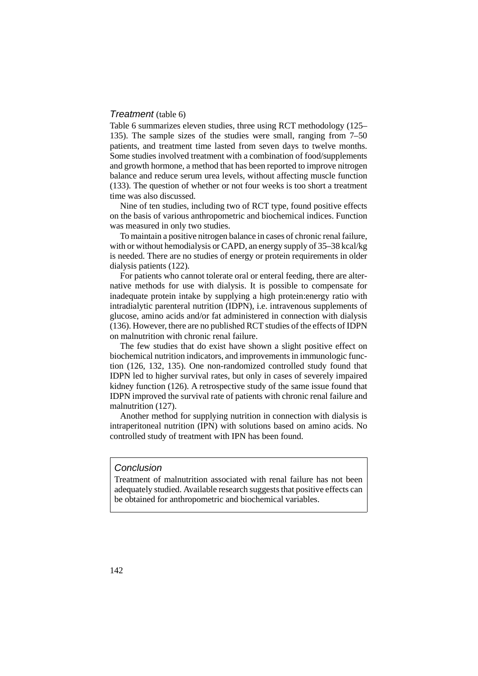#### Treatment (table 6)

Table 6 summarizes eleven studies, three using RCT methodology (125– 135). The sample sizes of the studies were small, ranging from 7–50 patients, and treatment time lasted from seven days to twelve months. Some studies involved treatment with a combination of food/supplements and growth hormone, a method that has been reported to improve nitrogen balance and reduce serum urea levels, without affecting muscle function (133). The question of whether or not four weeks is too short a treatment time was also discussed.

Nine of ten studies, including two of RCT type, found positive effects on the basis of various anthropometric and biochemical indices. Function was measured in only two studies.

To maintain a positive nitrogen balance in cases of chronic renal failure, with or without hemodialysis or CAPD, an energy supply of 35–38 kcal/kg is needed. There are no studies of energy or protein requirements in older dialysis patients (122).

For patients who cannot tolerate oral or enteral feeding, there are alternative methods for use with dialysis. It is possible to compensate for inadequate protein intake by supplying a high protein:energy ratio with intradialytic parenteral nutrition (IDPN), i.e. intravenous supplements of glucose, amino acids and/or fat administered in connection with dialysis (136). However, there are no published RCT studies of the effects of IDPN on malnutrition with chronic renal failure.

The few studies that do exist have shown a slight positive effect on biochemical nutrition indicators, and improvements in immunologic function (126, 132, 135). One non-randomized controlled study found that IDPN led to higher survival rates, but only in cases of severely impaired kidney function (126). A retrospective study of the same issue found that IDPN improved the survival rate of patients with chronic renal failure and malnutrition (127).

Another method for supplying nutrition in connection with dialysis is intraperitoneal nutrition (IPN) with solutions based on amino acids. No controlled study of treatment with IPN has been found.

### Conclusion

Treatment of malnutrition associated with renal failure has not been adequately studied. Available research suggests that positive effects can be obtained for anthropometric and biochemical variables.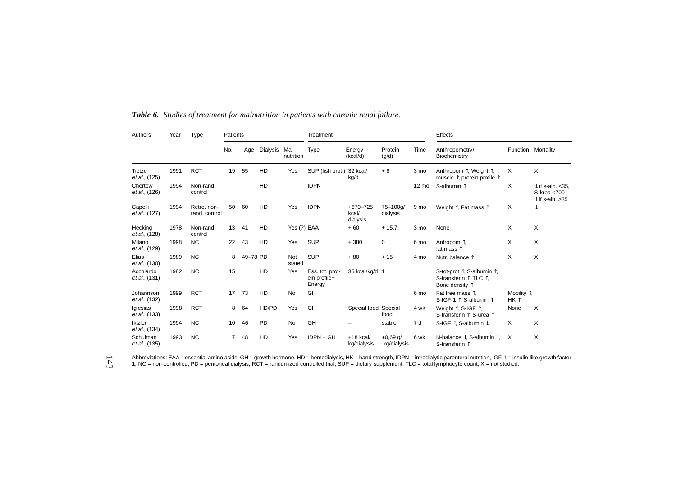| Authors                    | Year | <b>Type</b>                  | Patients       |          |          |                  | Treatment                                 |                               |                           |                 | Effects                                                                                                        |                                        |                                                                         |  |
|----------------------------|------|------------------------------|----------------|----------|----------|------------------|-------------------------------------------|-------------------------------|---------------------------|-----------------|----------------------------------------------------------------------------------------------------------------|----------------------------------------|-------------------------------------------------------------------------|--|
|                            |      |                              | No.            | Age      | Dialysis | Mal<br>nutrition | <b>Type</b>                               | Energy<br>(kcal/d)            | Protein<br>(g/d)          | Time            | Anthropometry/<br>Biochemistry                                                                                 | Function Mortality                     |                                                                         |  |
| Tietze<br>et al., (125)    | 1991 | <b>RCT</b>                   | 19             | 55       | HD       | Yes              | SUP (fish prot.)                          | 32 kcal/<br>kg/d              | $+8$                      | 3 mo            | Anthropom ↑, Weight ↑,<br>muscle 1, protein profile 1                                                          | X                                      | X                                                                       |  |
| Chertow<br>et al., (126)   | 1994 | Non-rand.<br>control         |                |          | HD       |                  | <b>IDPN</b>                               |                               |                           | $12 \text{ mo}$ | S-albumin 1                                                                                                    | X                                      | $\downarrow$ if s-alb. < 35.<br>S-krea <700<br>$\uparrow$ if s-alb. >35 |  |
| Capelli<br>et al., (127)   | 1994 | Retro, non-<br>rand. control | 50             | 60       | HD       | Yes              | <b>IDPN</b>                               | +670-725<br>kcal/<br>dialysis | 75-100g/<br>dialysis      | 9 mo            | Weight 1, Fat mass 1                                                                                           | X                                      | ↓                                                                       |  |
| Hecking<br>et al., (128)   | 1978 | Non-rand.<br>control         | 13             | 41       | HD       | Yes (?) EAA      |                                           | $+60$                         | $+15,7$                   | 3 mo            | None                                                                                                           | X                                      | X                                                                       |  |
| Milano<br>et al., (129)    | 1998 | <b>NC</b>                    | 22             | 43       | HD       | Yes              | <b>SUP</b>                                | $+380$                        | 0                         | 6 mo            | Antropom T,<br>fat mass $\uparrow$                                                                             | X                                      | X                                                                       |  |
| Elias<br>et al., (130)     | 1989 | <b>NC</b>                    | 8              | 49-78 PD |          | Not<br>stated    | <b>SUP</b>                                | $+80$                         | $+15$                     | 4 mo            | Nutr. balance 1                                                                                                | X                                      | X                                                                       |  |
| Acchiardo<br>et al., (131) | 1982 | <b>NC</b>                    | 15             |          | HD       | Yes              | Ess. tot. prot-<br>ein profile+<br>Energy | 35 kcal/kg/d 1                |                           |                 | S-tot-prot $\uparrow$ , S-albumin $\uparrow$ ,<br>S-transferin $\uparrow$ , TLC $\uparrow$ ,<br>Bone density 1 |                                        |                                                                         |  |
| Johannson<br>et al., (132) | 1999 | <b>RCT</b>                   | 17             | 73       | HD       | <b>No</b>        | GH                                        |                               |                           | 6 mo            | Fat free mass 1.<br>S-IGF-1 1, S-albumin 1                                                                     | Mobility $\uparrow$ ,<br>$HK \uparrow$ |                                                                         |  |
| Iglesias<br>et al., (133)  | 1998 | <b>RCT</b>                   | 8              | 64       | HD/PD    | Yes              | GH                                        | Special food Special          | food                      | 4 wk            | Weight 1, S-IGF 1,<br>S-transferin 1. S-urea 1                                                                 | None                                   | X                                                                       |  |
| Ikizler<br>et al., (134)   | 1994 | <b>NC</b>                    | 10             | 46       | PD       | No               | GH                                        |                               | stable                    | 7 d             | S-IGF 1 <sup>1</sup> , S-albumin ↓                                                                             | X                                      | Χ                                                                       |  |
| Schulman<br>et al., (135)  | 1993 | <b>NC</b>                    | $\overline{7}$ | 48       | HD       | Yes              | IDPN + GH                                 | $+18$ kcal/<br>kg/dialysis    | $+0,69$ g/<br>kg/dialysis | 6 wk            | N-balance $\hat{\Gamma}$ , S-albumin $\hat{\Gamma}$ ,<br>S-transferin 1                                        | $\times$                               | Χ                                                                       |  |

*Table 6. Studies of treatment for malnutrition in patients with chronic renal failure.*

Abbreviations: EAA = essential amino acids, GH = growth hormone, HD = hemodialysis, HK = hand strength, IDPN = intradialytic parenteral nutrition, IGF-1 = insulin-like growth factor<br>1, NC = non-controlled, PD = peritoneal

143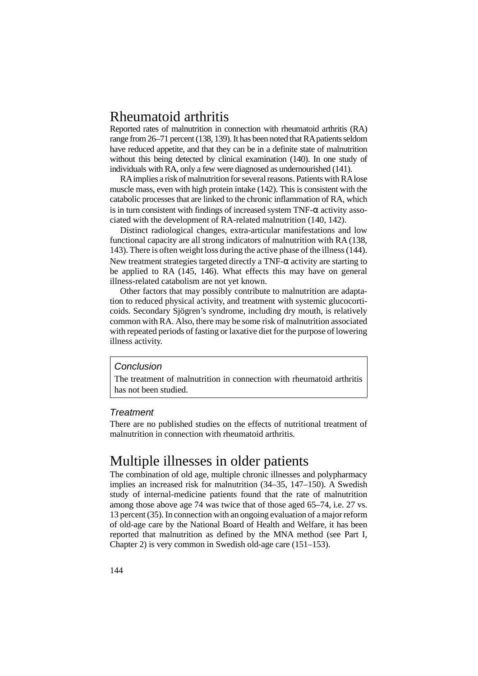# Rheumatoid arthritis

Reported rates of malnutrition in connection with rheumatoid arthritis (RA) range from 26–71 percent (138, 139). It has been noted that RA patients seldom have reduced appetite, and that they can be in a definite state of malnutrition without this being detected by clinical examination (140). In one study of individuals with RA, only a few were diagnosed as undernourished (141).

RA implies a risk of malnutrition for several reasons. Patients with RA lose muscle mass, even with high protein intake (142). This is consistent with the catabolic processes that are linked to the chronic inflammation of RA, which is in turn consistent with findings of increased system TNF- $\alpha$  activity associated with the development of RA-related malnutrition (140, 142).

Distinct radiological changes, extra-articular manifestations and low functional capacity are all strong indicators of malnutrition with RA (138, 143). There is often weight loss during the active phase of the illness (144). New treatment strategies targeted directly a TNF- $\alpha$  activity are starting to be applied to RA (145, 146). What effects this may have on general illness-related catabolism are not yet known.

Other factors that may possibly contribute to malnutrition are adaptation to reduced physical activity, and treatment with systemic glucocorticoids. Secondary Sjögren's syndrome, including dry mouth, is relatively common with RA. Also, there may be some risk of malnutrition associated with repeated periods of fasting or laxative diet for the purpose of lowering illness activity.

#### Conclusion

The treatment of malnutrition in connection with rheumatoid arthritis has not been studied.

#### **Treatment**

There are no published studies on the effects of nutritional treatment of malnutrition in connection with rheumatoid arthritis.

# Multiple illnesses in older patients

The combination of old age, multiple chronic illnesses and polypharmacy implies an increased risk for malnutrition (34–35, 147–150). A Swedish study of internal-medicine patients found that the rate of malnutrition among those above age 74 was twice that of those aged 65–74, i.e. 27 vs. 13 percent (35). In connection with an ongoing evaluation of a major reform of old-age care by the National Board of Health and Welfare, it has been reported that malnutrition as defined by the MNA method (see Part I, Chapter 2) is very common in Swedish old-age care (151–153).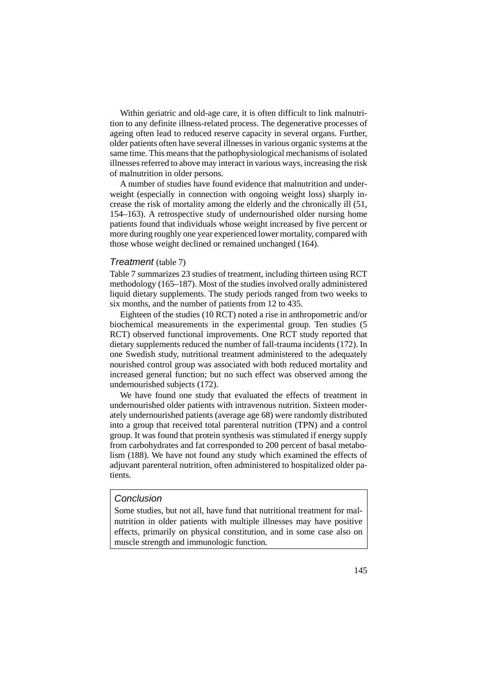Within geriatric and old-age care, it is often difficult to link malnutrition to any definite illness-related process. The degenerative processes of ageing often lead to reduced reserve capacity in several organs. Further, older patients often have several illnesses in various organic systems at the same time. This means that the pathophysiological mechanisms of isolated illnesses referred to above may interact in various ways, increasing the risk of malnutrition in older persons.

A number of studies have found evidence that malnutrition and underweight (especially in connection with ongoing weight loss) sharply increase the risk of mortality among the elderly and the chronically ill (51, 154–163). A retrospective study of undernourished older nursing home patients found that individuals whose weight increased by five percent or more during roughly one year experienced lower mortality, compared with those whose weight declined or remained unchanged (164).

#### Treatment (table 7)

Table 7 summarizes 23 studies of treatment, including thirteen using RCT methodology (165–187). Most of the studies involved orally administered liquid dietary supplements. The study periods ranged from two weeks to six months, and the number of patients from 12 to 435.

Eighteen of the studies (10 RCT) noted a rise in anthropometric and/or biochemical measurements in the experimental group. Ten studies (5 RCT) observed functional improvements. One RCT study reported that dietary supplements reduced the number of fall-trauma incidents (172). In one Swedish study, nutritional treatment administered to the adequately nourished control group was associated with both reduced mortality and increased general function; but no such effect was observed among the undernourished subjects (172).

We have found one study that evaluated the effects of treatment in undernourished older patients with intravenous nutrition. Sixteen moderately undernourished patients (average age 68) were randomly distributed into a group that received total parenteral nutrition (TPN) and a control group. It was found that protein synthesis was stimulated if energy supply from carbohydrates and fat corresponded to 200 percent of basal metabolism (188). We have not found any study which examined the effects of adjuvant parenteral nutrition, often administered to hospitalized older patients.

### Conclusion

Some studies, but not all, have fund that nutritional treatment for malnutrition in older patients with multiple illnesses may have positive effects, primarily on physical constitution, and in some case also on muscle strength and immunologic function.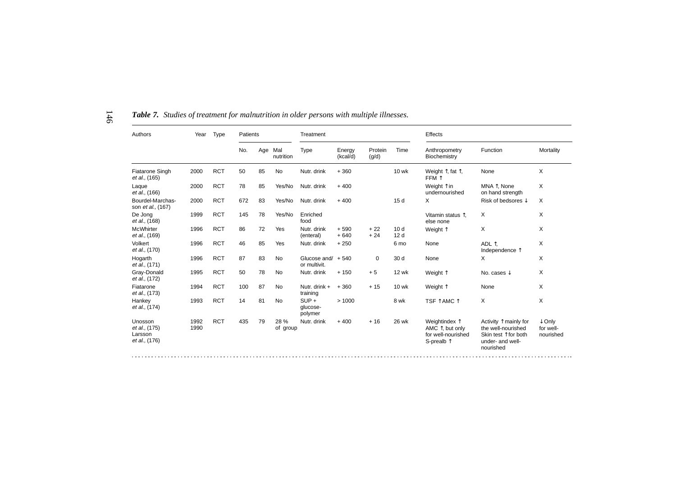| Authors                                              | Year         | Type       | Patients |     |                  | Treatment                             |                    |                  |                                    | Effects                                                                                 |                                                                                                                        |                                             |
|------------------------------------------------------|--------------|------------|----------|-----|------------------|---------------------------------------|--------------------|------------------|------------------------------------|-----------------------------------------------------------------------------------------|------------------------------------------------------------------------------------------------------------------------|---------------------------------------------|
|                                                      |              |            | No.      | Age | Mal<br>nutrition | Type                                  | Energy<br>(kcal/d) | Protein<br>(q/d) | Time                               | Anthropometry<br>Biochemistry                                                           | Function                                                                                                               | Mortality                                   |
| <b>Fiatarone Singh</b><br>et al., (165)              | 2000         | <b>RCT</b> | 50       | 85  | <b>No</b>        | Nutr. drink                           | $+360$             |                  | <b>10 wk</b>                       | Weight $\uparrow$ , fat $\uparrow$ ,<br>FFM 1                                           | None                                                                                                                   | X                                           |
| Laque<br>et al., (166)                               | 2000         | <b>RCT</b> | 78       | 85  | Yes/No           | Nutr. drink                           | $+400$             |                  |                                    | Weight ↑ in<br>undernourished                                                           | MNA T. None<br>on hand strength                                                                                        | X                                           |
| Bourdel-Marchas-<br>son et al., (167)                | 2000         | <b>RCT</b> | 672      | 83  | Yes/No           | Nutr. drink                           | $+400$             |                  | 15d                                | X                                                                                       | Risk of bedsores $\downarrow$                                                                                          | $\times$                                    |
| De Jong<br>et al., (168)                             | 1999         | <b>RCT</b> | 145      | 78  | Yes/No           | Enriched<br>food                      |                    |                  |                                    | Vitamin status 1,<br>else none                                                          | X                                                                                                                      | X                                           |
| McWhirter<br>et al., (169)                           | 1996         | <b>RCT</b> | 86       | 72  | Yes              | Nutr. drink<br>(enteral)              | $+590$<br>$+640$   | $+22$<br>$+24$   | 10 <sub>d</sub><br>12 <sub>d</sub> | Weight 1                                                                                | X                                                                                                                      | X                                           |
| Volkert<br>et al., (170)                             | 1996         | <b>RCT</b> | 46       | 85  | Yes              | Nutr. drink                           | $+250$             |                  | 6 mo                               | None                                                                                    | ADL 1.<br>Independence 1                                                                                               | X                                           |
| Hogarth<br>et al., (171)                             | 1996         | <b>RCT</b> | 87       | 83  | <b>No</b>        | Glucose and $/ + 540$<br>or multivit. |                    | $\mathbf 0$      | 30 d                               | None                                                                                    | X                                                                                                                      | X                                           |
| Gray-Donald<br>et al., (172)                         | 1995         | <b>RCT</b> | 50       | 78  | <b>No</b>        | Nutr. drink                           | $+150$             | $+5$             | <b>12 wk</b>                       | Weight 1                                                                                | No. cases $\downarrow$                                                                                                 | X                                           |
| Fiatarone<br>et al., (173)                           | 1994         | <b>RCT</b> | 100      | 87  | No               | Nutr. drink +<br>training             | $+360$             | $+15$            | 10 wk                              | Weight 1                                                                                | None                                                                                                                   | X                                           |
| Hankey<br>et al., (174)                              | 1993         | <b>RCT</b> | 14       | 81  | <b>No</b>        | $SUP +$<br>alucose-<br>polymer        | >1000              |                  | 8 wk                               | TSF ↑ AMC ↑                                                                             | X                                                                                                                      | X                                           |
| Unosson<br>et al., (175)<br>Larsson<br>et al., (176) | 1992<br>1990 | <b>RCT</b> | 435      | 79  | 28 %<br>of group | Nutr. drink                           | $+400$             | $+16$            | 26 wk                              | Weightindex 1<br>AMC $\uparrow$ , but only<br>for well-nourished<br>S-prealb $\uparrow$ | Activity $\uparrow$ mainly for<br>the well-nourished<br>Skin test $\uparrow$ for both<br>under- and well-<br>nourished | $\downarrow$ Only<br>for well-<br>nourished |

*Table 7. Studies of treatment for malnutrition in older persons with multiple illnesses.*

146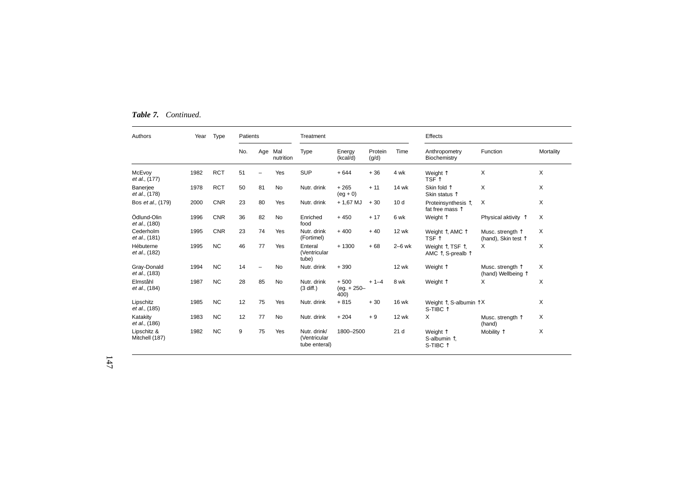| Table 7. | Continued. |
|----------|------------|
|          |            |

| Authors                         | Year | Type       | Patients |     |                  | Treatment                                     |                                  |                  |                 | Effects                                                |                                                  |           |
|---------------------------------|------|------------|----------|-----|------------------|-----------------------------------------------|----------------------------------|------------------|-----------------|--------------------------------------------------------|--------------------------------------------------|-----------|
|                                 |      |            | No.      | Age | Mal<br>nutrition | <b>Type</b>                                   | Energy<br>(kcal/d)               | Protein<br>(q/d) | Time            | Anthropometry<br>Biochemistry                          | Function                                         | Mortality |
| McEvoy<br><i>et al.</i> , (177) | 1982 | <b>RCT</b> | 51       |     | Yes              | <b>SUP</b>                                    | $+644$                           | $+36$            | 4 wk            | Weight 1<br>TSF 1                                      | X                                                | X         |
| Banerjee<br>et al., (178)       | 1978 | <b>RCT</b> | 50       | 81  | No               | Nutr. drink                                   | $+265$<br>$(eq + 0)$             | $+11$            | 14 wk           | Skin fold $\uparrow$<br>Skin status $\uparrow$         | X                                                | X         |
| Bos et al., (179)               | 2000 | <b>CNR</b> | 23       | 80  | Yes              | Nutr. drink                                   | $+ 1,67$ MJ                      | $+30$            | 10 <sub>d</sub> | Proteinsynthesis 1,<br>fat free mass 1                 | X                                                | X         |
| Ödlund-Olin<br>et al., (180)    | 1996 | <b>CNR</b> | 36       | 82  | <b>No</b>        | Enriched<br>food                              | $+450$                           | $+17$            | 6 wk            | Weight 1                                               | Physical aktivity $\uparrow$                     | X         |
| Cederholm<br>et al., (181)      | 1995 | <b>CNR</b> | 23       | 74  | Yes              | Nutr. drink<br>(Fortimel)                     | $+400$                           | $+40$            | <b>12 wk</b>    | Weight 1, AMC 1<br>TSF 1                               | Musc. strength 1<br>(hand), Skin test $\uparrow$ | X         |
| Hébuterne<br>et al., (182)      | 1995 | <b>NC</b>  | 46       | 77  | Yes              | Enteral<br>(Ventricular<br>tube)              | $+1300$                          | $+68$            | $2-6$ wk        | Weight 1, TSF 1,<br>AMC 1, S-prealb 1                  | X                                                | X         |
| Gray-Donald<br>et al., (183)    | 1994 | <b>NC</b>  | 14       |     | <b>No</b>        | Nutr. drink                                   | $+390$                           |                  | <b>12 wk</b>    | Weight 1                                               | Musc. strength 1<br>(hand) Wellbeing $\uparrow$  | X         |
| Elmståhl<br>et al., (184)       | 1987 | <b>NC</b>  | 28       | 85  | <b>No</b>        | Nutr. drink<br>$(3$ diff.)                    | $+500$<br>$(eg. + 250 -$<br>400) | $+ 1 - 4$        | 8 wk            | Weight 1                                               | х                                                | X         |
| Lipschitz<br>et al., (185)      | 1985 | <b>NC</b>  | 12       | 75  | Yes              | Nutr. drink                                   | $+815$                           | $+30$            | <b>16 wk</b>    | Weight $\uparrow$ , S-albumin $\uparrow$ X<br>S-TIBC 1 |                                                  | X         |
| Katakity<br>et al., (186)       | 1983 | <b>NC</b>  | 12       | 77  | <b>No</b>        | Nutr. drink                                   | $+204$                           | $+9$             | <b>12 wk</b>    | X                                                      | Musc. strength 1<br>(hand)                       | X         |
| Lipschitz &<br>Mitchell (187)   | 1982 | <b>NC</b>  | 9        | 75  | Yes              | Nutr. drink/<br>(Ventricular<br>tube enteral) | 1800-2500                        |                  | 21 <sub>d</sub> | Weight 1<br>S-albumin $\hat{ }$ .<br>S-TIBC 1          | Mobility 1                                       | X         |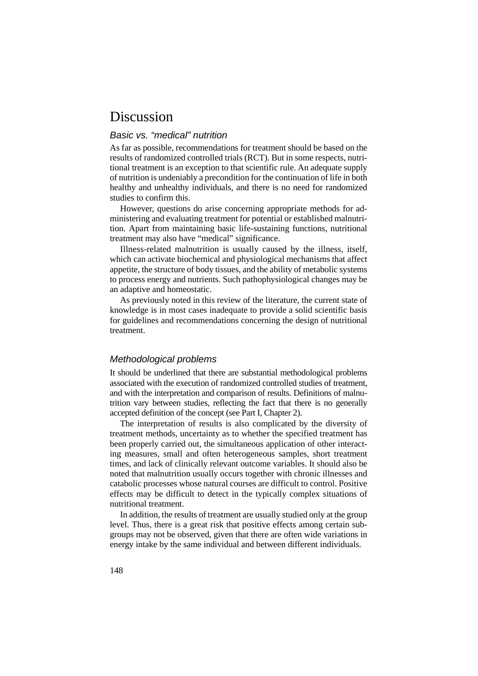# Discussion

### Basic vs. "medical" nutrition

As far as possible, recommendations for treatment should be based on the results of randomized controlled trials (RCT). But in some respects, nutritional treatment is an exception to that scientific rule. An adequate supply of nutrition is undeniably a precondition for the continuation of life in both healthy and unhealthy individuals, and there is no need for randomized studies to confirm this.

However, questions do arise concerning appropriate methods for administering and evaluating treatment for potential or established malnutrition. Apart from maintaining basic life-sustaining functions, nutritional treatment may also have "medical" significance.

Illness-related malnutrition is usually caused by the illness, itself, which can activate biochemical and physiological mechanisms that affect appetite, the structure of body tissues, and the ability of metabolic systems to process energy and nutrients. Such pathophysiological changes may be an adaptive and homeostatic.

As previously noted in this review of the literature, the current state of knowledge is in most cases inadequate to provide a solid scientific basis for guidelines and recommendations concerning the design of nutritional treatment.

### Methodological problems

It should be underlined that there are substantial methodological problems associated with the execution of randomized controlled studies of treatment, and with the interpretation and comparison of results. Definitions of malnutrition vary between studies, reflecting the fact that there is no generally accepted definition of the concept (see Part I, Chapter 2).

The interpretation of results is also complicated by the diversity of treatment methods, uncertainty as to whether the specified treatment has been properly carried out, the simultaneous application of other interacting measures, small and often heterogeneous samples, short treatment times, and lack of clinically relevant outcome variables. It should also be noted that malnutrition usually occurs together with chronic illnesses and catabolic processes whose natural courses are difficult to control. Positive effects may be difficult to detect in the typically complex situations of nutritional treatment.

In addition, the results of treatment are usually studied only at the group level. Thus, there is a great risk that positive effects among certain subgroups may not be observed, given that there are often wide variations in energy intake by the same individual and between different individuals.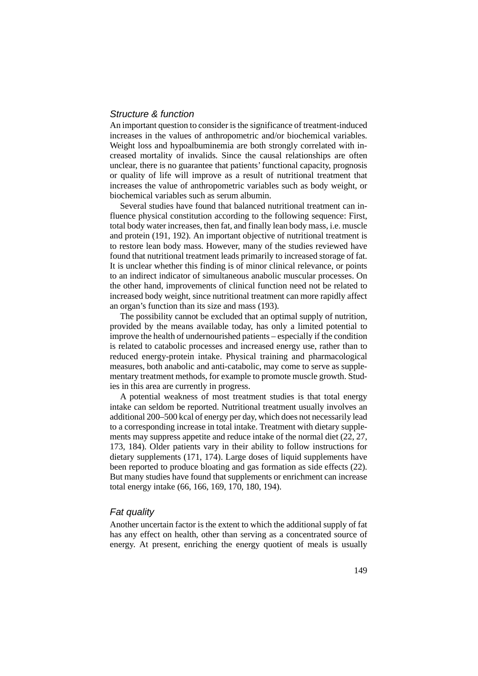### Structure & function

An important question to consider is the significance of treatment-induced increases in the values of anthropometric and/or biochemical variables. Weight loss and hypoalbuminemia are both strongly correlated with increased mortality of invalids. Since the causal relationships are often unclear, there is no guarantee that patients' functional capacity, prognosis or quality of life will improve as a result of nutritional treatment that increases the value of anthropometric variables such as body weight, or biochemical variables such as serum albumin.

Several studies have found that balanced nutritional treatment can influence physical constitution according to the following sequence: First, total body water increases, then fat, and finally lean body mass, i.e. muscle and protein (191, 192). An important objective of nutritional treatment is to restore lean body mass. However, many of the studies reviewed have found that nutritional treatment leads primarily to increased storage of fat. It is unclear whether this finding is of minor clinical relevance, or points to an indirect indicator of simultaneous anabolic muscular processes. On the other hand, improvements of clinical function need not be related to increased body weight, since nutritional treatment can more rapidly affect an organ's function than its size and mass (193).

The possibility cannot be excluded that an optimal supply of nutrition, provided by the means available today, has only a limited potential to improve the health of undernourished patients – especially if the condition is related to catabolic processes and increased energy use, rather than to reduced energy-protein intake. Physical training and pharmacological measures, both anabolic and anti-catabolic, may come to serve as supplementary treatment methods, for example to promote muscle growth. Studies in this area are currently in progress.

A potential weakness of most treatment studies is that total energy intake can seldom be reported. Nutritional treatment usually involves an additional 200–500 kcal of energy per day, which does not necessarily lead to a corresponding increase in total intake. Treatment with dietary supplements may suppress appetite and reduce intake of the normal diet (22, 27, 173, 184). Older patients vary in their ability to follow instructions for dietary supplements (171, 174). Large doses of liquid supplements have been reported to produce bloating and gas formation as side effects (22). But many studies have found that supplements or enrichment can increase total energy intake (66, 166, 169, 170, 180, 194).

#### Fat quality

Another uncertain factor is the extent to which the additional supply of fat has any effect on health, other than serving as a concentrated source of energy. At present, enriching the energy quotient of meals is usually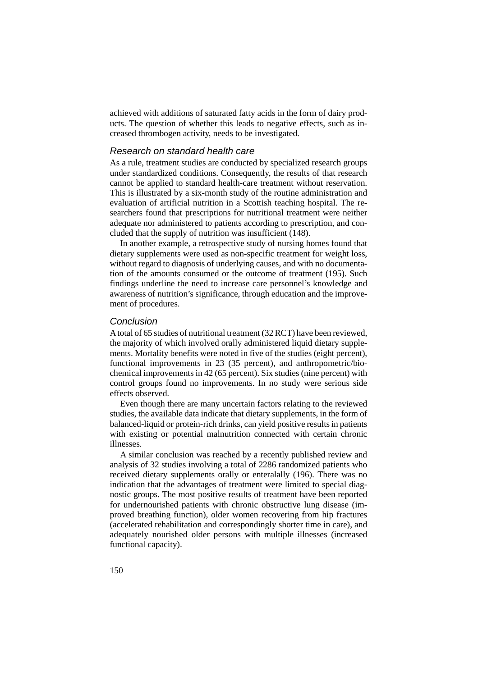achieved with additions of saturated fatty acids in the form of dairy products. The question of whether this leads to negative effects, such as increased thrombogen activity, needs to be investigated.

#### Research on standard health care

As a rule, treatment studies are conducted by specialized research groups under standardized conditions. Consequently, the results of that research cannot be applied to standard health-care treatment without reservation. This is illustrated by a six-month study of the routine administration and evaluation of artificial nutrition in a Scottish teaching hospital. The researchers found that prescriptions for nutritional treatment were neither adequate nor administered to patients according to prescription, and concluded that the supply of nutrition was insufficient (148).

In another example, a retrospective study of nursing homes found that dietary supplements were used as non-specific treatment for weight loss, without regard to diagnosis of underlying causes, and with no documentation of the amounts consumed or the outcome of treatment (195). Such findings underline the need to increase care personnel's knowledge and awareness of nutrition's significance, through education and the improvement of procedures.

### Conclusion

A total of 65 studies of nutritional treatment (32 RCT) have been reviewed, the majority of which involved orally administered liquid dietary supplements. Mortality benefits were noted in five of the studies (eight percent), functional improvements in 23 (35 percent), and anthropometric/biochemical improvements in 42 (65 percent). Six studies (nine percent) with control groups found no improvements. In no study were serious side effects observed.

Even though there are many uncertain factors relating to the reviewed studies, the available data indicate that dietary supplements, in the form of balanced-liquid or protein-rich drinks, can yield positive results in patients with existing or potential malnutrition connected with certain chronic illnesses.

A similar conclusion was reached by a recently published review and analysis of 32 studies involving a total of 2286 randomized patients who received dietary supplements orally or enteralally (196). There was no indication that the advantages of treatment were limited to special diagnostic groups. The most positive results of treatment have been reported for undernourished patients with chronic obstructive lung disease (improved breathing function), older women recovering from hip fractures (accelerated rehabilitation and correspondingly shorter time in care), and adequately nourished older persons with multiple illnesses (increased functional capacity).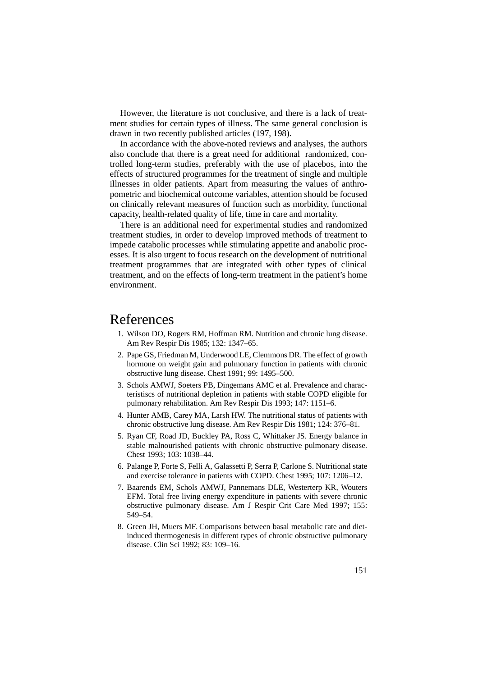However, the literature is not conclusive, and there is a lack of treatment studies for certain types of illness. The same general conclusion is drawn in two recently published articles (197, 198).

In accordance with the above-noted reviews and analyses, the authors also conclude that there is a great need for additional randomized, controlled long-term studies, preferably with the use of placebos, into the effects of structured programmes for the treatment of single and multiple illnesses in older patients. Apart from measuring the values of anthropometric and biochemical outcome variables, attention should be focused on clinically relevant measures of function such as morbidity, functional capacity, health-related quality of life, time in care and mortality.

There is an additional need for experimental studies and randomized treatment studies, in order to develop improved methods of treatment to impede catabolic processes while stimulating appetite and anabolic processes. It is also urgent to focus research on the development of nutritional treatment programmes that are integrated with other types of clinical treatment, and on the effects of long-term treatment in the patient's home environment.

# References

- 1. Wilson DO, Rogers RM, Hoffman RM. Nutrition and chronic lung disease. Am Rev Respir Dis 1985; 132: 1347–65.
- 2. Pape GS, Friedman M, Underwood LE, Clemmons DR. The effect of growth hormone on weight gain and pulmonary function in patients with chronic obstructive lung disease. Chest 1991; 99: 1495–500.
- 3. Schols AMWJ, Soeters PB, Dingemans AMC et al. Prevalence and characteristiscs of nutritional depletion in patients with stable COPD eligible for pulmonary rehabilitation. Am Rev Respir Dis 1993; 147: 1151–6.
- 4. Hunter AMB, Carey MA, Larsh HW. The nutritional status of patients with chronic obstructive lung disease. Am Rev Respir Dis 1981; 124: 376–81.
- 5. Ryan CF, Road JD, Buckley PA, Ross C, Whittaker JS. Energy balance in stable malnourished patients with chronic obstructive pulmonary disease. Chest 1993; 103: 1038–44.
- 6. Palange P, Forte S, Felli A, Galassetti P, Serra P, Carlone S. Nutritional state and exercise tolerance in patients with COPD. Chest 1995; 107: 1206–12.
- 7. Baarends EM, Schols AMWJ, Pannemans DLE, Westerterp KR, Wouters EFM. Total free living energy expenditure in patients with severe chronic obstructive pulmonary disease. Am J Respir Crit Care Med 1997; 155: 549–54.
- 8. Green JH, Muers MF. Comparisons between basal metabolic rate and dietinduced thermogenesis in different types of chronic obstructive pulmonary disease. Clin Sci 1992; 83: 109–16.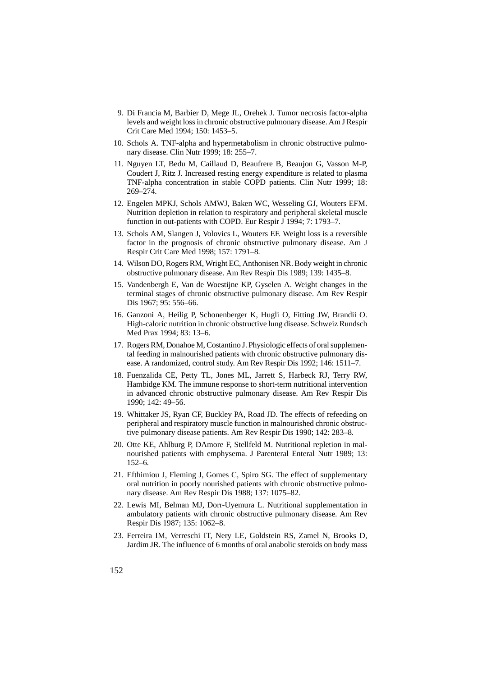- 9. Di Francia M, Barbier D, Mege JL, Orehek J. Tumor necrosis factor-alpha levels and weight loss in chronic obstructive pulmonary disease. Am J Respir Crit Care Med 1994; 150: 1453–5.
- 10. Schols A. TNF-alpha and hypermetabolism in chronic obstructive pulmonary disease. Clin Nutr 1999; 18: 255–7.
- 11. Nguyen LT, Bedu M, Caillaud D, Beaufrere B, Beaujon G, Vasson M-P, Coudert J, Ritz J. Increased resting energy expenditure is related to plasma TNF-alpha concentration in stable COPD patients. Clin Nutr 1999; 18: 269–274.
- 12. Engelen MPKJ, Schols AMWJ, Baken WC, Wesseling GJ, Wouters EFM. Nutrition depletion in relation to respiratory and peripheral skeletal muscle function in out-patients with COPD. Eur Respir J 1994; 7: 1793–7.
- 13. Schols AM, Slangen J, Volovics L, Wouters EF. Weight loss is a reversible factor in the prognosis of chronic obstructive pulmonary disease. Am J Respir Crit Care Med 1998; 157: 1791–8.
- 14. Wilson DO, Rogers RM, Wright EC, Anthonisen NR. Body weight in chronic obstructive pulmonary disease. Am Rev Respir Dis 1989; 139: 1435–8.
- 15. Vandenbergh E, Van de Woestijne KP, Gyselen A. Weight changes in the terminal stages of chronic obstructive pulmonary disease. Am Rev Respir Dis 1967; 95: 556–66.
- 16. Ganzoni A, Heilig P, Schonenberger K, Hugli O, Fitting JW, Brandii O. High-caloric nutrition in chronic obstructive lung disease. Schweiz Rundsch Med Prax 1994; 83: 13–6.
- 17. Rogers RM, Donahoe M, Costantino J. Physiologic effects of oral supplemental feeding in malnourished patients with chronic obstructive pulmonary disease. A randomized, control study. Am Rev Respir Dis 1992; 146: 1511–7.
- 18. Fuenzalida CE, Petty TL, Jones ML, Jarrett S, Harbeck RJ, Terry RW, Hambidge KM. The immune response to short-term nutritional intervention in advanced chronic obstructive pulmonary disease. Am Rev Respir Dis 1990; 142: 49–56.
- 19. Whittaker JS, Ryan CF, Buckley PA, Road JD. The effects of refeeding on peripheral and respiratory muscle function in malnourished chronic obstructive pulmonary disease patients. Am Rev Respir Dis 1990; 142: 283–8.
- 20. Otte KE, Ahlburg P, DAmore F, Stellfeld M. Nutritional repletion in malnourished patients with emphysema. J Parenteral Enteral Nutr 1989; 13: 152–6.
- 21. Efthimiou J, Fleming J, Gomes C, Spiro SG. The effect of supplementary oral nutrition in poorly nourished patients with chronic obstructive pulmonary disease. Am Rev Respir Dis 1988; 137: 1075–82.
- 22. Lewis MI, Belman MJ, Dorr-Uyemura L. Nutritional supplementation in ambulatory patients with chronic obstructive pulmonary disease. Am Rev Respir Dis 1987; 135: 1062–8.
- 23. Ferreira IM, Verreschi IT, Nery LE, Goldstein RS, Zamel N, Brooks D, Jardim JR. The influence of 6 months of oral anabolic steroids on body mass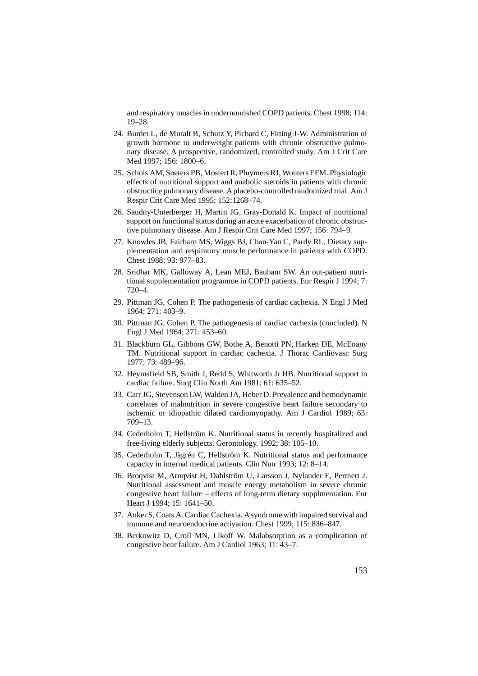and respiratory muscles in undernourished COPD patients. Chest 1998; 114: 19–28.

- 24. Burdet L, de Muralt B, Schutz Y, Pichard C, Fitting J-W. Administration of growth hormone to underweight patients with chronic obstructive pulmonary disease. A prospective, randomized, controlled study. Am J Crit Care Med 1997; 156: 1800–6.
- 25. Schols AM, Soeters PB, Mostert R, Pluymers RJ, Wouters EFM. Physiologic effects of nutritional support and anabolic steroids in patients with chronic obstructice pulmonary disease. A placebo-controlled randomized trial. Am J Respir Crit Care Med 1995; 152:1268–74.
- 26. Saudny-Unterberger H, Martin JG, Gray-Donald K. Impact of nutritional support on functional status during an acute exacerbation of chronic obstructive pulmonary disease. Am J Respir Crit Care Med 1997; 156: 794–9.
- 27. Knowles JB, Fairbarn MS, Wiggs BJ, Chan-Yan C, Pardy RL. Dietary supplementation and respiratory muscle performance in patients with COPD. Chest 1988; 93: 977–83.
- 28. Sridhar MK, Galloway A, Lean MEJ, Banham SW. An out-patient nutritional supplementation programme in COPD patients. Eur Respir J 1994; 7: 720–4.
- 29. Pittman JG, Cohen P. The pathogenesis of cardiac cachexia. N Engl J Med 1964; 271: 403–9.
- 30. Pittman JG, Cohen P. The pathogenesis of cardiac cachexia (concluded). N Engl J Med 1964; 271: 453–60.
- 31. Blackburn GL, Gibbons GW, Bothe A, Benotti PN, Harken DE, McEnany TM. Nutritional support in cardiac cachexia. J Thorac Cardiovasc Surg 1977; 73: 489–96.
- 32. Heymsfield SB, Smith J, Redd S, Whitworth Jr HB. Nutritional support in cardiac failure. Surg Clin North Am 1981; 61: 635–52.
- 33. Carr JG, Stevenson LW, Walden JA, Heber D. Prevalence and hemodynamic correlates of malnutrition in severe congestive heart failure secondary to ischemic or idiopathic dilated cardiomyopathy. Am J Cardiol 1989; 63: 709–13.
- 34. Cederholm T, Hellström K. Nutritional status in recently hospitalized and free-living elderly subjects. Gerontology. 1992; 38: 105–10.
- 35. Cederholm T, Jägrén C, Hellström K. Nutritional status and performance capacity in internal medical patients. Clin Nutr 1993; 12: 8–14.
- 36. Broqvist M, Arnqvist H, Dahlström U, Larsson J, Nylander E, Permert J. Nutritional assessment and muscle energy metabolism in severe chronic congestive heart failure – effects of long-term dietary supplmentation. Eur Heart J 1994; 15: 1641–50.
- 37. Anker S, Coats A. Cardiac Cachexia. A syndrome with impaired survival and immune and neuroendocrine activation. Chest 1999; 115: 836–847.
- 38. Berkowitz D, Croll MN, Likoff W. Malabsorption as a complication of congestive hear failure. Am J Cardiol 1963; 11: 43–7.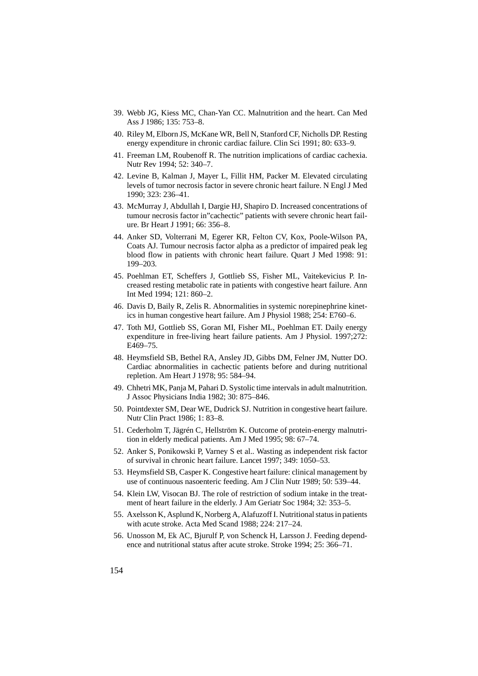- 39. Webb JG, Kiess MC, Chan-Yan CC. Malnutrition and the heart. Can Med Ass J 1986; 135: 753–8.
- 40. Riley M, Elborn JS, McKane WR, Bell N, Stanford CF, Nicholls DP. Resting energy expenditure in chronic cardiac failure. Clin Sci 1991; 80: 633–9.
- 41. Freeman LM, Roubenoff R. The nutrition implications of cardiac cachexia. Nutr Rev 1994; 52: 340–7.
- 42. Levine B, Kalman J, Mayer L, Fillit HM, Packer M. Elevated circulating levels of tumor necrosis factor in severe chronic heart failure. N Engl J Med 1990; 323: 236–41.
- 43. McMurray J, Abdullah I, Dargie HJ, Shapiro D. Increased concentrations of tumour necrosis factor in"cachectic" patients with severe chronic heart failure. Br Heart J 1991; 66: 356–8.
- 44. Anker SD, Volterrani M, Egerer KR, Felton CV, Kox, Poole-Wilson PA, Coats AJ. Tumour necrosis factor alpha as a predictor of impaired peak leg blood flow in patients with chronic heart failure. Quart J Med 1998: 91: 199–203.
- 45. Poehlman ET, Scheffers J, Gottlieb SS, Fisher ML, Vaitekevicius P. Increased resting metabolic rate in patients with congestive heart failure. Ann Int Med 1994; 121: 860–2.
- 46. Davis D, Baily R, Zelis R. Abnormalities in systemic norepinephrine kinetics in human congestive heart failure. Am J Physiol 1988; 254: E760–6.
- 47. Toth MJ, Gottlieb SS, Goran MI, Fisher ML, Poehlman ET. Daily energy expenditure in free-living heart failure patients. Am J Physiol. 1997;272: E469–75.
- 48. Heymsfield SB, Bethel RA, Ansley JD, Gibbs DM, Felner JM, Nutter DO. Cardiac abnormalities in cachectic patients before and during nutritional repletion. Am Heart J 1978; 95: 584–94.
- 49. Chhetri MK, Panja M, Pahari D. Systolic time intervals in adult malnutrition. J Assoc Physicians India 1982; 30: 875–846.
- 50. Pointdexter SM, Dear WE, Dudrick SJ. Nutrition in congestive heart failure. Nutr Clin Pract 1986; 1: 83–8.
- 51. Cederholm T, Jägrén C, Hellström K. Outcome of protein-energy malnutrition in elderly medical patients. Am J Med 1995; 98: 67–74.
- 52. Anker S, Ponikowski P, Varney S et al.. Wasting as independent risk factor of survival in chronic heart failure. Lancet 1997; 349: 1050–53.
- 53. Heymsfield SB, Casper K. Congestive heart failure: clinical management by use of continuous nasoenteric feeding. Am J Clin Nutr 1989; 50: 539–44.
- 54. Klein LW, Visocan BJ. The role of restriction of sodium intake in the treatment of heart failure in the elderly. J Am Geriatr Soc 1984; 32: 353–5.
- 55. Axelsson K, Asplund K, Norberg A, Alafuzoff I. Nutritional status in patients with acute stroke. Acta Med Scand 1988; 224: 217–24.
- 56. Unosson M, Ek AC, Bjurulf P, von Schenck H, Larsson J. Feeding dependence and nutritional status after acute stroke. Stroke 1994; 25: 366–71.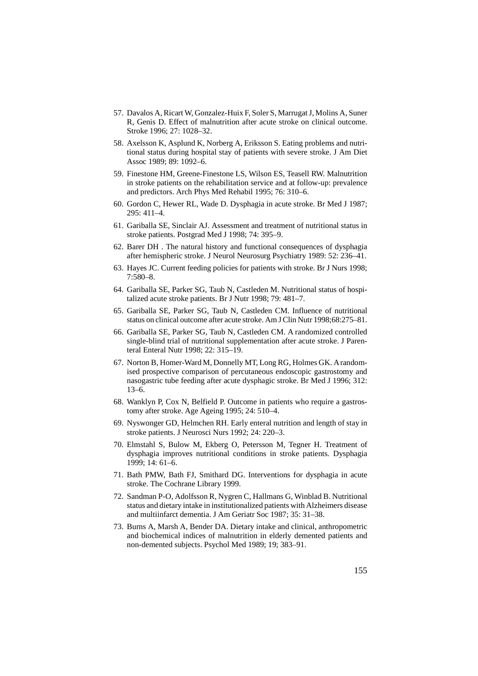- 57. Davalos A, Ricart W, Gonzalez-Huix F, Soler S, Marrugat J, Molins A, Suner R, Genis D. Effect of malnutrition after acute stroke on clinical outcome. Stroke 1996; 27: 1028–32.
- 58. Axelsson K, Asplund K, Norberg A, Eriksson S. Eating problems and nutritional status during hospital stay of patients with severe stroke. J Am Diet Assoc 1989; 89: 1092–6.
- 59. Finestone HM, Greene-Finestone LS, Wilson ES, Teasell RW. Malnutrition in stroke patients on the rehabilitation service and at follow-up: prevalence and predictors. Arch Phys Med Rehabil 1995; 76: 310–6.
- 60. Gordon C, Hewer RL, Wade D. Dysphagia in acute stroke. Br Med J 1987; 295: 411–4.
- 61. Gariballa SE, Sinclair AJ. Assessment and treatment of nutritional status in stroke patients. Postgrad Med J 1998; 74: 395–9.
- 62. Barer DH . The natural history and functional consequences of dysphagia after hemispheric stroke. J Neurol Neurosurg Psychiatry 1989: 52: 236–41.
- 63. Hayes JC. Current feeding policies for patients with stroke. Br J Nurs 1998; 7:580–8.
- 64. Gariballa SE, Parker SG, Taub N, Castleden M. Nutritional status of hospitalized acute stroke patients. Br J Nutr 1998; 79: 481–7.
- 65. Gariballa SE, Parker SG, Taub N, Castleden CM. Influence of nutritional status on clinical outcome after acute stroke. Am J Clin Nutr 1998;68:275–81.
- 66. Gariballa SE, Parker SG, Taub N, Castleden CM. A randomized controlled single-blind trial of nutritional supplementation after acute stroke. J Parenteral Enteral Nutr 1998; 22: 315–19.
- 67. Norton B, Homer-Ward M, Donnelly MT, Long RG, Holmes GK. A randomised prospective comparison of percutaneous endoscopic gastrostomy and nasogastric tube feeding after acute dysphagic stroke. Br Med J 1996; 312: 13–6.
- 68. Wanklyn P, Cox N, Belfield P. Outcome in patients who require a gastrostomy after stroke. Age Ageing 1995; 24: 510–4.
- 69. Nyswonger GD, Helmchen RH. Early enteral nutrition and length of stay in stroke patients. J Neurosci Nurs 1992; 24: 220–3.
- 70. Elmstahl S, Bulow M, Ekberg O, Petersson M, Tegner H. Treatment of dysphagia improves nutritional conditions in stroke patients. Dysphagia 1999; 14: 61–6.
- 71. Bath PMW, Bath FJ, Smithard DG. Interventions for dysphagia in acute stroke. The Cochrane Library 1999.
- 72. Sandman P-O, Adolfsson R, Nygren C, Hallmans G, Winblad B. Nutritional status and dietary intake in institutionalized patients with Alzheimers disease and multiinfarct dementia. J Am Geriatr Soc 1987; 35: 31–38.
- 73. Burns A, Marsh A, Bender DA. Dietary intake and clinical, anthropometric and biochemical indices of malnutrition in elderly demented patients and non-demented subjects. Psychol Med 1989; 19; 383–91.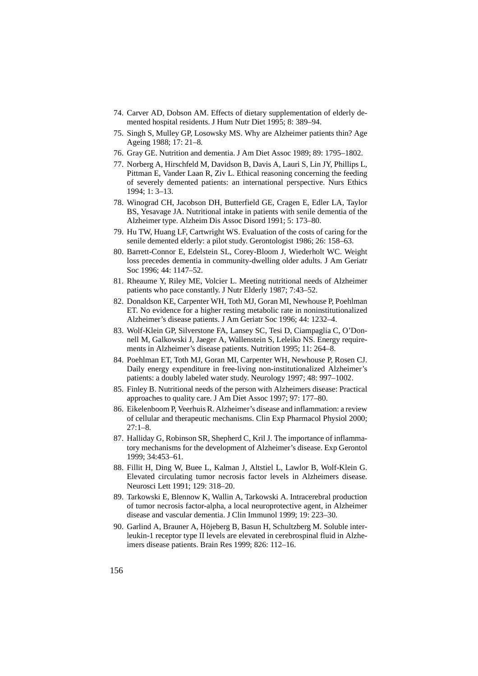- 74. Carver AD, Dobson AM. Effects of dietary supplementation of elderly demented hospital residents. J Hum Nutr Diet 1995; 8: 389–94.
- 75. Singh S, Mulley GP, Losowsky MS. Why are Alzheimer patients thin? Age Ageing 1988; 17: 21–8.
- 76. Gray GE. Nutrition and dementia. J Am Diet Assoc 1989; 89: 1795–1802.
- 77. Norberg A, Hirschfeld M, Davidson B, Davis A, Lauri S, Lin JY, Phillips L, Pittman E, Vander Laan R, Ziv L. Ethical reasoning concerning the feeding of severely demented patients: an international perspective. Nurs Ethics 1994; 1: 3–13.
- 78. Winograd CH, Jacobson DH, Butterfield GE, Cragen E, Edler LA, Taylor BS, Yesavage JA. Nutritional intake in patients with senile dementia of the Alzheimer type. Alzheim Dis Assoc Disord 1991; 5: 173–80.
- 79. Hu TW, Huang LF, Cartwright WS. Evaluation of the costs of caring for the senile demented elderly: a pilot study. Gerontologist 1986; 26: 158–63.
- 80. Barrett-Connor E, Edelstein SL, Corey-Bloom J, Wiederholt WC. Weight loss precedes dementia in community-dwelling older adults. J Am Geriatr Soc 1996; 44: 1147–52.
- 81. Rheaume Y, Riley ME, Volcier L. Meeting nutritional needs of Alzheimer patients who pace constantly. J Nutr Elderly 1987; 7:43–52.
- 82. Donaldson KE, Carpenter WH, Toth MJ, Goran MI, Newhouse P, Poehlman ET. No evidence for a higher resting metabolic rate in noninstitutionalized Alzheimer's disease patients. J Am Geriatr Soc 1996; 44: 1232–4.
- 83. Wolf-Klein GP, Silverstone FA, Lansey SC, Tesi D, Ciampaglia C, O'Donnell M, Galkowski J, Jaeger A, Wallenstein S, Leleiko NS. Energy requirements in Alzheimer's disease patients. Nutrition 1995; 11: 264–8.
- 84. Poehlman ET, Toth MJ, Goran MI, Carpenter WH, Newhouse P, Rosen CJ. Daily energy expenditure in free-living non-institutionalized Alzheimer's patients: a doubly labeled water study. Neurology 1997; 48: 997–1002.
- 85. Finley B. Nutritional needs of the person with Alzheimers disease: Practical approaches to quality care. J Am Diet Assoc 1997; 97: 177–80.
- 86. Eikelenboom P, Veerhuis R. Alzheimer's disease and inflammation: a review of cellular and therapeutic mechanisms. Clin Exp Pharmacol Physiol 2000; 27:1–8.
- 87. Halliday G, Robinson SR, Shepherd C, Kril J. The importance of inflammatory mechanisms for the development of Alzheimer's disease. Exp Gerontol 1999; 34:453–61.
- 88. Fillit H, Ding W, Buee L, Kalman J, Altstiel L, Lawlor B, Wolf-Klein G. Elevated circulating tumor necrosis factor levels in Alzheimers disease. Neurosci Lett 1991; 129: 318–20.
- 89. Tarkowski E, Blennow K, Wallin A, Tarkowski A. Intracerebral production of tumor necrosis factor-alpha, a local neuroprotective agent, in Alzheimer disease and vascular dementia. J Clin Immunol 1999; 19: 223–30.
- 90. Garlind A, Brauner A, Höjeberg B, Basun H, Schultzberg M. Soluble interleukin-1 receptor type II levels are elevated in cerebrospinal fluid in Alzheimers disease patients. Brain Res 1999; 826: 112–16.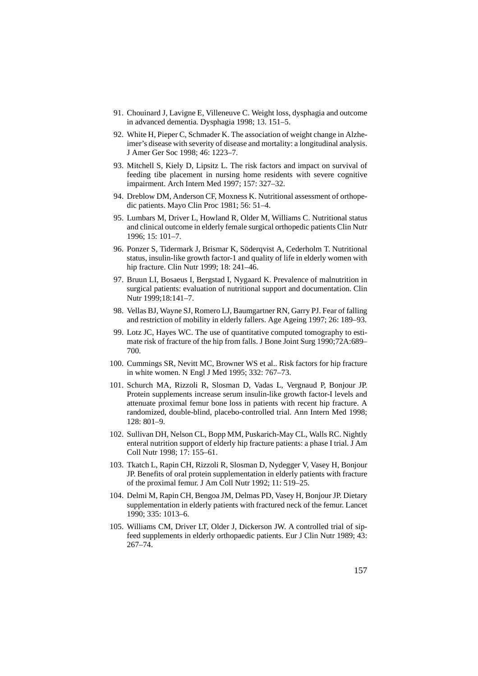- 91. Chouinard J, Lavigne E, Villeneuve C. Weight loss, dysphagia and outcome in advanced dementia. Dysphagia 1998; 13. 151–5.
- 92. White H, Pieper C, Schmader K. The association of weight change in Alzheimer's disease with severity of disease and mortality: a longitudinal analysis. J Amer Ger Soc 1998; 46: 1223–7.
- 93. Mitchell S, Kiely D, Lipsitz L. The risk factors and impact on survival of feeding tibe placement in nursing home residents with severe cognitive impairment. Arch Intern Med 1997; 157: 327–32.
- 94. Dreblow DM, Anderson CF, Moxness K. Nutritional assessment of orthopedic patients. Mayo Clin Proc 1981; 56: 51–4.
- 95. Lumbars M, Driver L, Howland R, Older M, Williams C. Nutritional status and clinical outcome in elderly female surgical orthopedic patients Clin Nutr 1996; 15: 101–7.
- 96. Ponzer S, Tidermark J, Brismar K, Söderqvist A, Cederholm T. Nutritional status, insulin-like growth factor-1 and quality of life in elderly women with hip fracture. Clin Nutr 1999; 18: 241–46.
- 97. Bruun LI, Bosaeus I, Bergstad I, Nygaard K. Prevalence of malnutrition in surgical patients: evaluation of nutritional support and documentation. Clin Nutr 1999;18:141–7.
- 98. Vellas BJ, Wayne SJ, Romero LJ, Baumgartner RN, Garry PJ. Fear of falling and restriction of mobility in elderly fallers. Age Ageing 1997; 26: 189–93.
- 99. Lotz JC, Hayes WC. The use of quantitative computed tomography to estimate risk of fracture of the hip from falls. J Bone Joint Surg 1990;72A:689– 700.
- 100. Cummings SR, Nevitt MC, Browner WS et al.. Risk factors for hip fracture in white women. N Engl J Med 1995; 332: 767–73.
- 101. Schurch MA, Rizzoli R, Slosman D, Vadas L, Vergnaud P, Bonjour JP. Protein supplements increase serum insulin-like growth factor-I levels and attenuate proximal femur bone loss in patients with recent hip fracture. A randomized, double-blind, placebo-controlled trial. Ann Intern Med 1998; 128: 801–9.
- 102. Sullivan DH, Nelson CL, Bopp MM, Puskarich-May CL, Walls RC. Nightly enteral nutrition support of elderly hip fracture patients: a phase I trial. J Am Coll Nutr 1998; 17: 155–61.
- 103. Tkatch L, Rapin CH, Rizzoli R, Slosman D, Nydegger V, Vasey H, Bonjour JP. Benefits of oral protein supplementation in elderly patients with fracture of the proximal femur. J Am Coll Nutr 1992; 11: 519–25.
- 104. Delmi M, Rapin CH, Bengoa JM, Delmas PD, Vasey H, Bonjour JP. Dietary supplementation in elderly patients with fractured neck of the femur. Lancet 1990; 335: 1013–6.
- 105. Williams CM, Driver LT, Older J, Dickerson JW. A controlled trial of sipfeed supplements in elderly orthopaedic patients. Eur J Clin Nutr 1989; 43: 267–74.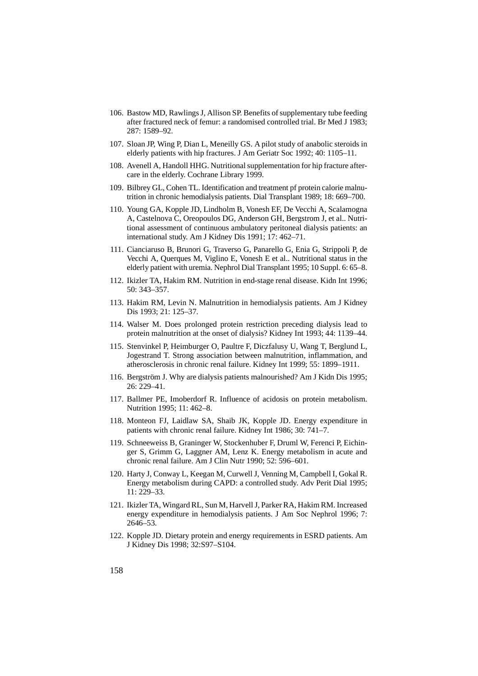- 106. Bastow MD, Rawlings J, Allison SP. Benefits of supplementary tube feeding after fractured neck of femur: a randomised controlled trial. Br Med J 1983; 287: 1589–92.
- 107. Sloan JP, Wing P, Dian L, Meneilly GS. A pilot study of anabolic steroids in elderly patients with hip fractures. J Am Geriatr Soc 1992; 40: 1105–11.
- 108. Avenell A, Handoll HHG. Nutritional supplementation for hip fracture aftercare in the elderly. Cochrane Library 1999.
- 109. Bilbrey GL, Cohen TL. Identification and treatment pf protein calorie malnutrition in chronic hemodialysis patients. Dial Transplant 1989; 18: 669–700.
- 110. Young GA, Kopple JD, Lindholm B, Vonesh EF, De Vecchi A, Scalamogna A, Castelnova C, Oreopoulos DG, Anderson GH, Bergstrom J, et al.. Nutritional assessment of continuous ambulatory peritoneal dialysis patients: an international study. Am J Kidney Dis 1991; 17: 462–71.
- 111. Cianciaruso B, Brunori G, Traverso G, Panarello G, Enia G, Strippoli P, de Vecchi A, Querques M, Viglino E, Vonesh E et al.. Nutritional status in the elderly patient with uremia. Nephrol Dial Transplant 1995; 10 Suppl. 6: 65–8.
- 112. Ikizler TA, Hakim RM. Nutrition in end-stage renal disease. Kidn Int 1996; 50: 343–357.
- 113. Hakim RM, Levin N. Malnutrition in hemodialysis patients. Am J Kidney Dis 1993; 21: 125–37.
- 114. Walser M. Does prolonged protein restriction preceding dialysis lead to protein malnutrition at the onset of dialysis? Kidney Int 1993; 44: 1139–44.
- 115. Stenvinkel P, Heimburger O, Paultre F, Diczfalusy U, Wang T, Berglund L, Jogestrand T. Strong association between malnutrition, inflammation, and atherosclerosis in chronic renal failure. Kidney Int 1999; 55: 1899–1911.
- 116. Bergström J. Why are dialysis patients malnourished? Am J Kidn Dis 1995; 26: 229–41.
- 117. Ballmer PE, Imoberdorf R. Influence of acidosis on protein metabolism. Nutrition 1995; 11: 462–8.
- 118. Monteon FJ, Laidlaw SA, Shaib JK, Kopple JD. Energy expenditure in patients with chronic renal failure. Kidney Int 1986; 30: 741–7.
- 119. Schneeweiss B, Graninger W, Stockenhuber F, Druml W, Ferenci P, Eichinger S, Grimm G, Laggner AM, Lenz K. Energy metabolism in acute and chronic renal failure. Am J Clin Nutr 1990; 52: 596–601.
- 120. Harty J, Conway L, Keegan M, Curwell J, Venning M, Campbell I, Gokal R. Energy metabolism during CAPD: a controlled study. Adv Perit Dial 1995; 11: 229–33.
- 121. Ikizler TA, Wingard RL, Sun M, Harvell J, Parker RA, Hakim RM. Increased energy expenditure in hemodialysis patients. J Am Soc Nephrol 1996; 7: 2646–53.
- 122. Kopple JD. Dietary protein and energy requirements in ESRD patients. Am J Kidney Dis 1998; 32:S97–S104.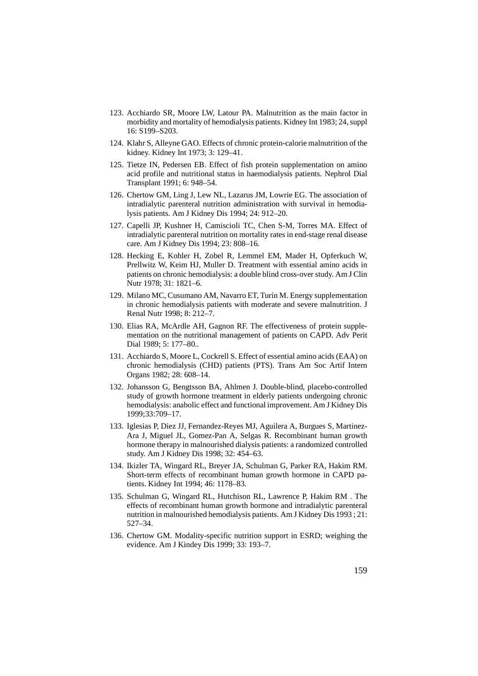- 123. Acchiardo SR, Moore LW, Latour PA. Malnutrition as the main factor in morbidity and mortality of hemodialysis patients. Kidney Int 1983; 24, suppl 16: S199–S203.
- 124. Klahr S, Alleyne GAO. Effects of chronic protein-calorie malnutrition of the kidney. Kidney Int 1973; 3: 129–41.
- 125. Tietze IN, Pedersen EB. Effect of fish protein supplementation on amino acid profile and nutritional status in haemodialysis patients. Nephrol Dial Transplant 1991; 6: 948–54.
- 126. Chertow GM, Ling J, Lew NL, Lazarus JM, Lowrie EG. The association of intradialytic parenteral nutrition administration with survival in hemodialysis patients. Am J Kidney Dis 1994; 24: 912–20.
- 127. Capelli JP, Kushner H, Camiscioli TC, Chen S-M, Torres MA. Effect of intradialytic parenteral nutrition on mortality rates in end-stage renal disease care. Am J Kidney Dis 1994; 23: 808–16.
- 128. Hecking E, Kohler H, Zobel R, Lemmel EM, Mader H, Opferkuch W, Prellwitz W, Keim HJ, Muller D. Treatment with essential amino acids in patients on chronic hemodialysis: a double blind cross-over study. Am J Clin Nutr 1978; 31: 1821–6.
- 129. Milano MC, Cusumano AM, Navarro ET, Turín M. Energy supplementation in chronic hemodialysis patients with moderate and severe malnutrition. J Renal Nutr 1998; 8: 212–7.
- 130. Elias RA, McArdle AH, Gagnon RF. The effectiveness of protein supplementation on the nutritional management of patients on CAPD. Adv Perit Dial 1989; 5: 177–80..
- 131. Acchiardo S, Moore L, Cockrell S. Effect of essential amino acids (EAA) on chronic hemodialysis (CHD) patients (PTS). Trans Am Soc Artif Intern Organs 1982; 28: 608–14.
- 132. Johansson G, Bengtsson BA, Ahlmen J. Double-blind, placebo-controlled study of growth hormone treatment in elderly patients undergoing chronic hemodialysis: anabolic effect and functional improvement. Am J Kidney Dis 1999;33:709–17.
- 133. Iglesias P, Diez JJ, Fernandez-Reyes MJ, Aguilera A, Burgues S, Martinez-Ara J, Miguel JL, Gomez-Pan A, Selgas R. Recombinant human growth hormone therapy in malnourished dialysis patients: a randomized controlled study. Am J Kidney Dis 1998; 32: 454–63.
- 134. Ikizler TA, Wingard RL, Breyer JA, Schulman G, Parker RA, Hakim RM. Short-term effects of recombinant human growth hormone in CAPD patients. Kidney Int 1994; 46: 1178–83.
- 135. Schulman G, Wingard RL, Hutchison RL, Lawrence P, Hakim RM . The effects of recombinant human growth hormone and intradialytic parenteral nutrition in malnourished hemodialysis patients. Am J Kidney Dis 1993 ; 21: 527–34.
- 136. Chertow GM. Modality-specific nutrition support in ESRD; weighing the evidence. Am J Kindey Dis 1999; 33: 193–7.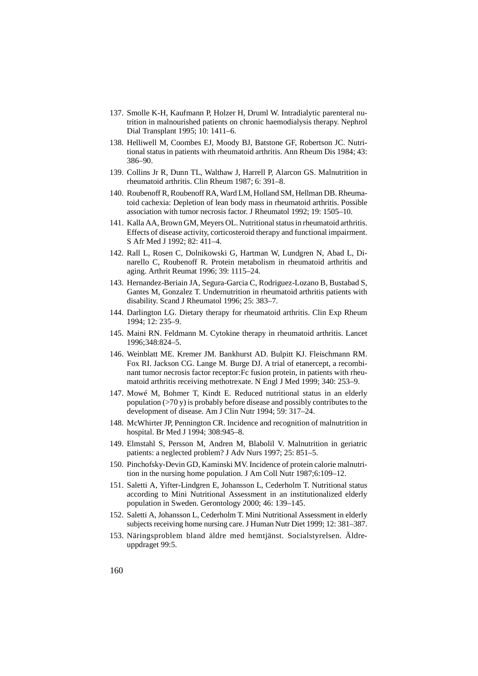- 137. Smolle K-H, Kaufmann P, Holzer H, Druml W. Intradialytic parenteral nutrition in malnourished patients on chronic haemodialysis therapy. Nephrol Dial Transplant 1995; 10: 1411–6.
- 138. Helliwell M, Coombes EJ, Moody BJ, Batstone GF, Robertson JC. Nutritional status in patients with rheumatoid arthritis. Ann Rheum Dis 1984; 43: 386–90.
- 139. Collins Jr R, Dunn TL, Walthaw J, Harrell P, Alarcon GS. Malnutrition in rheumatoid arthritis. Clin Rheum 1987; 6: 391–8.
- 140. Roubenoff R, Roubenoff RA, Ward LM, Holland SM, Hellman DB. Rheumatoid cachexia: Depletion of lean body mass in rheumatoid arthritis. Possible association with tumor necrosis factor. J Rheumatol 1992; 19: 1505–10.
- 141. Kalla AA, Brown GM, Meyers OL. Nutritional status in rheumatoid arthritis. Effects of disease activity, corticosteroid therapy and functional impairment. S Afr Med J 1992; 82: 411–4.
- 142. Rall L, Rosen C, Dolnikowski G, Hartman W, Lundgren N, Abad L, Dinarello C, Roubenoff R. Protein metabolism in rheumatoid arthritis and aging. Arthrit Reumat 1996; 39: 1115–24.
- 143. Hernandez-Beriain JA, Segura-Garcia C, Rodriguez-Lozano B, Bustabad S, Gantes M, Gonzalez T. Undernutrition in rheumatoid arthritis patients with disability. Scand J Rheumatol 1996; 25: 383–7.
- 144. Darlington LG. Dietary therapy for rheumatoid arthritis. Clin Exp Rheum 1994; 12: 235–9.
- 145. Maini RN. Feldmann M. Cytokine therapy in rheumatoid arthritis. Lancet 1996;348:824–5.
- 146. Weinblatt ME. Kremer JM. Bankhurst AD. Bulpitt KJ. Fleischmann RM. Fox RI. Jackson CG. Lange M. Burge DJ. A trial of etanercept, a recombinant tumor necrosis factor receptor:Fc fusion protein, in patients with rheumatoid arthritis receiving methotrexate. N Engl J Med 1999; 340: 253–9.
- 147. Mowé M, Bohmer T, Kindt E. Reduced nutritional status in an elderly population  $(>70 y)$  is probably before disease and possibly contributes to the development of disease. Am J Clin Nutr 1994; 59: 317–24.
- 148. McWhirter JP, Pennington CR. Incidence and recognition of malnutrition in hospital. Br Med J 1994; 308:945–8.
- 149. Elmstahl S, Persson M, Andren M, Blabolil V. Malnutrition in geriatric patients: a neglected problem? J Adv Nurs 1997; 25: 851–5.
- 150. Pinchofsky-Devin GD, Kaminski MV. Incidence of protein calorie malnutrition in the nursing home population. J Am Coll Nutr 1987;6:109–12.
- 151. Saletti A, Yifter-Lindgren E, Johansson L, Cederholm T. Nutritional status according to Mini Nutritional Assessment in an institutionalized elderly population in Sweden. Gerontology 2000; 46: 139–145.
- 152. Saletti A, Johansson L, Cederholm T. Mini Nutritional Assessment in elderly subjects receiving home nursing care. J Human Nutr Diet 1999; 12: 381–387.
- 153. Näringsproblem bland äldre med hemtjänst. Socialstyrelsen. Äldreuppdraget 99:5.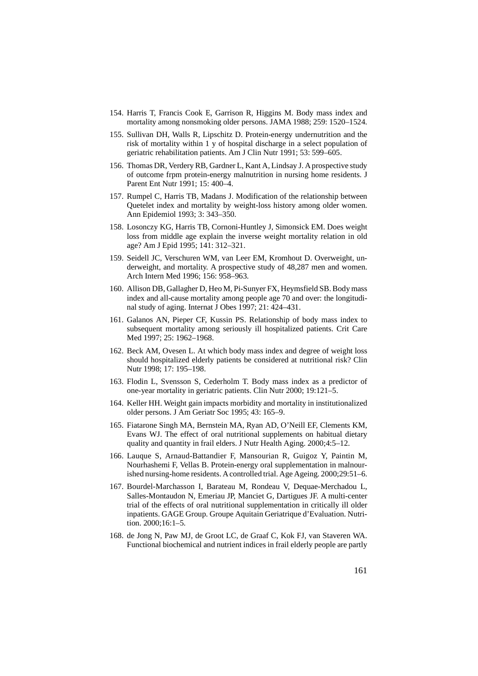- 154. Harris T, Francis Cook E, Garrison R, Higgins M. Body mass index and mortality among nonsmoking older persons. JAMA 1988; 259: 1520–1524.
- 155. Sullivan DH, Walls R, Lipschitz D. Protein-energy undernutrition and the risk of mortality within 1 y of hospital discharge in a select population of geriatric rehabilitation patients. Am J Clin Nutr 1991; 53: 599–605.
- 156. Thomas DR, Verdery RB, Gardner L, Kant A, Lindsay J. A prospective study of outcome frpm protein-energy malnutrition in nursing home residents. J Parent Ent Nutr 1991; 15: 400–4.
- 157. Rumpel C, Harris TB, Madans J. Modification of the relationship between Quetelet index and mortality by weight-loss history among older women. Ann Epidemiol 1993; 3: 343–350.
- 158. Losonczy KG, Harris TB, Cornoni-Huntley J, Simonsick EM. Does weight loss from middle age explain the inverse weight mortality relation in old age? Am J Epid 1995; 141: 312–321.
- 159. Seidell JC, Verschuren WM, van Leer EM, Kromhout D. Overweight, underweight, and mortality. A prospective study of 48,287 men and women. Arch Intern Med 1996; 156: 958–963.
- 160. Allison DB, Gallagher D, Heo M, Pi-Sunyer FX, Heymsfield SB. Body mass index and all-cause mortality among people age 70 and over: the longitudinal study of aging. Internat J Obes 1997; 21: 424–431.
- 161. Galanos AN, Pieper CF, Kussin PS. Relationship of body mass index to subsequent mortality among seriously ill hospitalized patients. Crit Care Med 1997; 25: 1962–1968.
- 162. Beck AM, Ovesen L. At which body mass index and degree of weight loss should hospitalized elderly patients be considered at nutritional risk? Clin Nutr 1998; 17: 195–198.
- 163. Flodin L, Svensson S, Cederholm T. Body mass index as a predictor of one-year mortality in geriatric patients. Clin Nutr 2000; 19:121–5.
- 164. Keller HH. Weight gain impacts morbidity and mortality in institutionalized older persons. J Am Geriatr Soc 1995; 43: 165–9.
- 165. Fiatarone Singh MA, Bernstein MA, Ryan AD, O'Neill EF, Clements KM, Evans WJ. The effect of oral nutritional supplements on habitual dietary quality and quantity in frail elders. J Nutr Health Aging. 2000;4:5–12.
- 166. Lauque S, Arnaud-Battandier F, Mansourian R, Guigoz Y, Paintin M, Nourhashemi F, Vellas B. Protein-energy oral supplementation in malnourished nursing-home residents. A controlled trial. Age Ageing. 2000;29:51–6.
- 167. Bourdel-Marchasson I, Barateau M, Rondeau V, Dequae-Merchadou L, Salles-Montaudon N, Emeriau JP, Manciet G, Dartigues JF. A multi-center trial of the effects of oral nutritional supplementation in critically ill older inpatients. GAGE Group. Groupe Aquitain Geriatrique d'Evaluation. Nutrition. 2000;16:1–5.
- 168. de Jong N, Paw MJ, de Groot LC, de Graaf C, Kok FJ, van Staveren WA. Functional biochemical and nutrient indices in frail elderly people are partly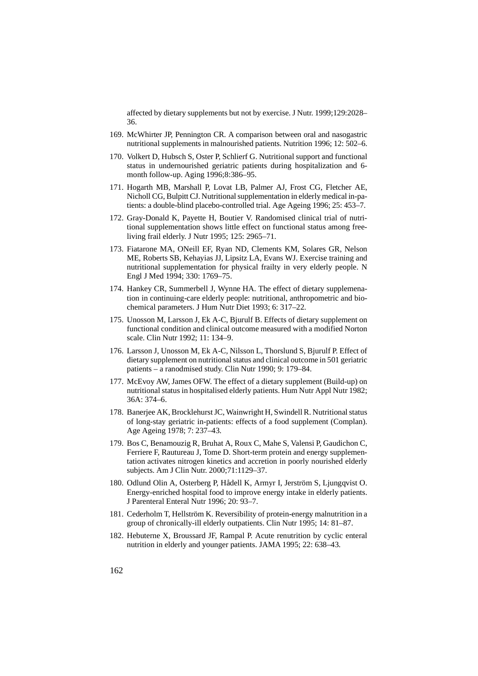affected by dietary supplements but not by exercise. J Nutr. 1999;129:2028– 36.

- 169. McWhirter JP, Pennington CR. A comparison between oral and nasogastric nutritional supplements in malnourished patients. Nutrition 1996; 12: 502–6.
- 170. Volkert D, Hubsch S, Oster P, Schlierf G. Nutritional support and functional status in undernourished geriatric patients during hospitalization and 6 month follow-up. Aging 1996;8:386–95.
- 171. Hogarth MB, Marshall P, Lovat LB, Palmer AJ, Frost CG, Fletcher AE, Nicholl CG, Bulpitt CJ. Nutritional supplementation in elderly medical in-patients: a double-blind placebo-controlled trial. Age Ageing 1996; 25: 453–7.
- 172. Gray-Donald K, Payette H, Boutier V. Randomised clinical trial of nutritional supplementation shows little effect on functional status among freeliving frail elderly. J Nutr 1995; 125: 2965–71.
- 173. Fiatarone MA, ONeill EF, Ryan ND, Clements KM, Solares GR, Nelson ME, Roberts SB, Kehayias JJ, Lipsitz LA, Evans WJ. Exercise training and nutritional supplementation for physical frailty in very elderly people. N Engl J Med 1994; 330: 1769–75.
- 174. Hankey CR, Summerbell J, Wynne HA. The effect of dietary supplemenation in continuing-care elderly people: nutritional, anthropometric and biochemical parameters. J Hum Nutr Diet 1993; 6: 317–22.
- 175. Unosson M, Larsson J, Ek A-C, Bjurulf B. Effects of dietary supplement on functional condition and clinical outcome measured with a modified Norton scale. Clin Nutr 1992; 11: 134–9.
- 176. Larsson J, Unosson M, Ek A-C, Nilsson L, Thorslund S, Bjurulf P. Effect of dietary supplement on nutritional status and clinical outcome in 501 geriatric patients – a ranodmised study. Clin Nutr 1990; 9: 179–84.
- 177. McEvoy AW, James OFW. The effect of a dietary supplement (Build-up) on nutritional status in hospitalised elderly patients. Hum Nutr Appl Nutr 1982; 36A: 374–6.
- 178. Banerjee AK, Brocklehurst JC, Wainwright H, Swindell R. Nutritional status of long-stay geriatric in-patients: effects of a food supplement (Complan). Age Ageing 1978; 7: 237–43.
- 179. Bos C, Benamouzig R, Bruhat A, Roux C, Mahe S, Valensi P, Gaudichon C, Ferriere F, Rautureau J, Tome D. Short-term protein and energy supplementation activates nitrogen kinetics and accretion in poorly nourished elderly subjects. Am J Clin Nutr. 2000;71:1129–37.
- 180. Odlund Olin A, Osterberg P, Hådell K, Armyr I, Jerström S, Ljungqvist O. Energy-enriched hospital food to improve energy intake in elderly patients. J Parenteral Enteral Nutr 1996; 20: 93–7.
- 181. Cederholm T, Hellström K. Reversibility of protein-energy malnutrition in a group of chronically-ill elderly outpatients. Clin Nutr 1995; 14: 81–87.
- 182. Hebuterne X, Broussard JF, Rampal P. Acute renutrition by cyclic enteral nutrition in elderly and younger patients. JAMA 1995; 22: 638–43.